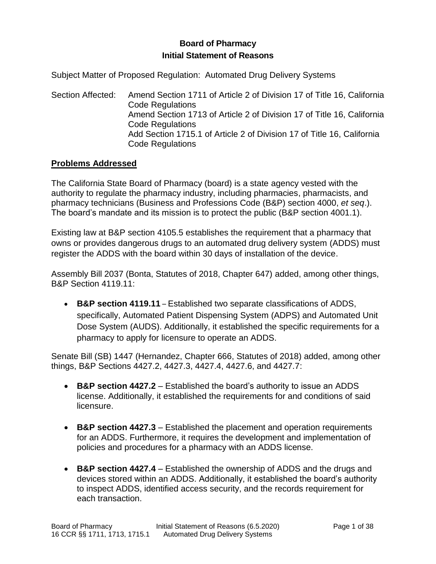# **Board of Pharmacy Initial Statement of Reasons**

Subject Matter of Proposed Regulation: Automated Drug Delivery Systems

Section Affected: Amend Section 1711 of Article 2 of Division 17 of Title 16, California Code Regulations Amend Section 1713 of Article 2 of Division 17 of Title 16, California Code Regulations Add Section 1715.1 of Article 2 of Division 17 of Title 16, California Code Regulations

### **Problems Addressed**

The California State Board of Pharmacy (board) is a state agency vested with the authority to regulate the pharmacy industry, including pharmacies, pharmacists, and pharmacy technicians (Business and Professions Code (B&P) section 4000, *et seq*.). The board's mandate and its mission is to protect the public (B&P section 4001.1).

Existing law at B&P section 4105.5 establishes the requirement that a pharmacy that owns or provides dangerous drugs to an automated drug delivery system (ADDS) must register the ADDS with the board within 30 days of installation of the device.

Assembly Bill 2037 (Bonta, Statutes of 2018, Chapter 647) added, among other things, B&P Section 4119.11:

• **B&P section 4119.11** – Established two separate classifications of ADDS, specifically, Automated Patient Dispensing System (ADPS) and Automated Unit Dose System (AUDS). Additionally, it established the specific requirements for a pharmacy to apply for licensure to operate an ADDS.

Senate Bill (SB) 1447 (Hernandez, Chapter 666, Statutes of 2018) added, among other things, B&P Sections 4427.2, 4427.3, 4427.4, 4427.6, and 4427.7:

- **B&P section 4427.2** Established the board's authority to issue an ADDS license. Additionally, it established the requirements for and conditions of said licensure.
- **B&P section 4427.3** Established the placement and operation requirements for an ADDS. Furthermore, it requires the development and implementation of policies and procedures for a pharmacy with an ADDS license.
- **B&P section 4427.4** Established the ownership of ADDS and the drugs and devices stored within an ADDS. Additionally, it established the board's authority to inspect ADDS, identified access security, and the records requirement for each transaction.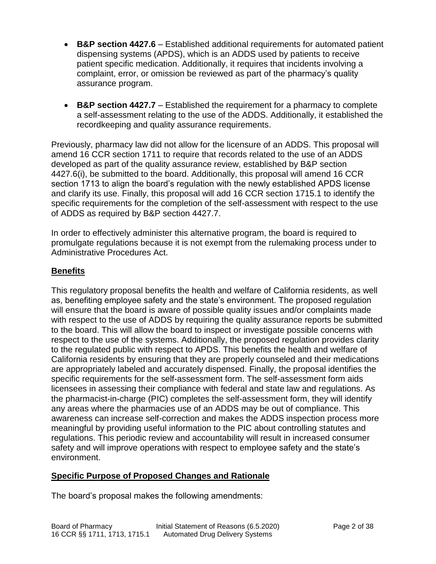- **B&P section 4427.6** Established additional requirements for automated patient dispensing systems (APDS), which is an ADDS used by patients to receive patient specific medication. Additionally, it requires that incidents involving a complaint, error, or omission be reviewed as part of the pharmacy's quality assurance program.
- **B&P section 4427.7** Established the requirement for a pharmacy to complete a self-assessment relating to the use of the ADDS. Additionally, it established the recordkeeping and quality assurance requirements.

Previously, pharmacy law did not allow for the licensure of an ADDS. This proposal will amend 16 CCR section 1711 to require that records related to the use of an ADDS developed as part of the quality assurance review, established by B&P section 4427.6(i), be submitted to the board. Additionally, this proposal will amend 16 CCR section 1713 to align the board's regulation with the newly established APDS license and clarify its use. Finally, this proposal will add 16 CCR section 1715.1 to identify the specific requirements for the completion of the self-assessment with respect to the use of ADDS as required by B&P section 4427.7.

In order to effectively administer this alternative program, the board is required to promulgate regulations because it is not exempt from the rulemaking process under to Administrative Procedures Act.

## **Benefits**

This regulatory proposal benefits the health and welfare of California residents, as well as, benefiting employee safety and the state's environment. The proposed regulation will ensure that the board is aware of possible quality issues and/or complaints made with respect to the use of ADDS by requiring the quality assurance reports be submitted to the board. This will allow the board to inspect or investigate possible concerns with respect to the use of the systems. Additionally, the proposed regulation provides clarity to the regulated public with respect to APDS. This benefits the health and welfare of California residents by ensuring that they are properly counseled and their medications are appropriately labeled and accurately dispensed. Finally, the proposal identifies the specific requirements for the self-assessment form. The self-assessment form aids licensees in assessing their compliance with federal and state law and regulations. As the pharmacist-in-charge (PIC) completes the self-assessment form, they will identify any areas where the pharmacies use of an ADDS may be out of compliance. This awareness can increase self-correction and makes the ADDS inspection process more meaningful by providing useful information to the PIC about controlling statutes and regulations. This periodic review and accountability will result in increased consumer safety and will improve operations with respect to employee safety and the state's environment.

### **Specific Purpose of Proposed Changes and Rationale**

The board's proposal makes the following amendments: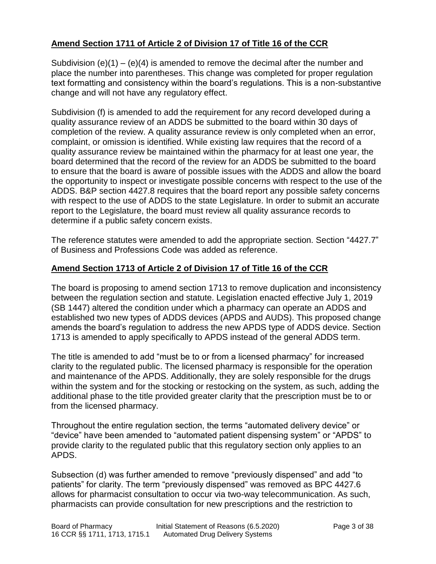# **Amend Section 1711 of Article 2 of Division 17 of Title 16 of the CCR**

Subdivision  $(e)(1) - (e)(4)$  is amended to remove the decimal after the number and place the number into parentheses. This change was completed for proper regulation text formatting and consistency within the board's regulations. This is a non-substantive change and will not have any regulatory effect.

Subdivision (f) is amended to add the requirement for any record developed during a quality assurance review of an ADDS be submitted to the board within 30 days of completion of the review. A quality assurance review is only completed when an error, complaint, or omission is identified. While existing law requires that the record of a quality assurance review be maintained within the pharmacy for at least one year, the board determined that the record of the review for an ADDS be submitted to the board to ensure that the board is aware of possible issues with the ADDS and allow the board the opportunity to inspect or investigate possible concerns with respect to the use of the ADDS. B&P section 4427.8 requires that the board report any possible safety concerns with respect to the use of ADDS to the state Legislature. In order to submit an accurate report to the Legislature, the board must review all quality assurance records to determine if a public safety concern exists.

The reference statutes were amended to add the appropriate section. Section "4427.7" of Business and Professions Code was added as reference.

### **Amend Section 1713 of Article 2 of Division 17 of Title 16 of the CCR**

The board is proposing to amend section 1713 to remove duplication and inconsistency between the regulation section and statute. Legislation enacted effective July 1, 2019 (SB 1447) altered the condition under which a pharmacy can operate an ADDS and established two new types of ADDS devices (APDS and AUDS). This proposed change amends the board's regulation to address the new APDS type of ADDS device. Section 1713 is amended to apply specifically to APDS instead of the general ADDS term.

The title is amended to add "must be to or from a licensed pharmacy" for increased clarity to the regulated public. The licensed pharmacy is responsible for the operation and maintenance of the APDS. Additionally, they are solely responsible for the drugs within the system and for the stocking or restocking on the system, as such, adding the additional phase to the title provided greater clarity that the prescription must be to or from the licensed pharmacy.

Throughout the entire regulation section, the terms "automated delivery device" or "device" have been amended to "automated patient dispensing system" or "APDS" to provide clarity to the regulated public that this regulatory section only applies to an APDS.

Subsection (d) was further amended to remove "previously dispensed" and add "to patients" for clarity. The term "previously dispensed" was removed as BPC 4427.6 allows for pharmacist consultation to occur via two-way telecommunication. As such, pharmacists can provide consultation for new prescriptions and the restriction to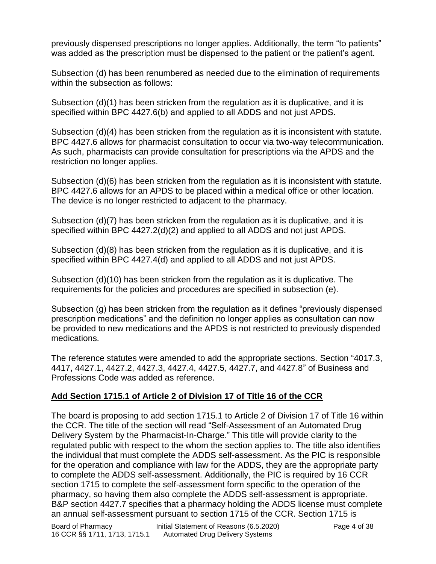previously dispensed prescriptions no longer applies. Additionally, the term "to patients" was added as the prescription must be dispensed to the patient or the patient's agent.

Subsection (d) has been renumbered as needed due to the elimination of requirements within the subsection as follows:

Subsection (d)(1) has been stricken from the regulation as it is duplicative, and it is specified within BPC 4427.6(b) and applied to all ADDS and not just APDS.

Subsection (d)(4) has been stricken from the regulation as it is inconsistent with statute. BPC 4427.6 allows for pharmacist consultation to occur via two-way telecommunication. As such, pharmacists can provide consultation for prescriptions via the APDS and the restriction no longer applies.

Subsection (d)(6) has been stricken from the regulation as it is inconsistent with statute. BPC 4427.6 allows for an APDS to be placed within a medical office or other location. The device is no longer restricted to adjacent to the pharmacy.

Subsection (d)(7) has been stricken from the regulation as it is duplicative, and it is specified within BPC 4427.2(d)(2) and applied to all ADDS and not just APDS.

Subsection (d)(8) has been stricken from the regulation as it is duplicative, and it is specified within BPC 4427.4(d) and applied to all ADDS and not just APDS.

Subsection (d)(10) has been stricken from the regulation as it is duplicative. The requirements for the policies and procedures are specified in subsection (e).

Subsection (g) has been stricken from the regulation as it defines "previously dispensed prescription medications" and the definition no longer applies as consultation can now be provided to new medications and the APDS is not restricted to previously dispended medications.

The reference statutes were amended to add the appropriate sections. Section "4017.3, 4417, 4427.1, 4427.2, 4427.3, 4427.4, 4427.5, 4427.7, and 4427.8" of Business and Professions Code was added as reference.

# **Add Section 1715.1 of Article 2 of Division 17 of Title 16 of the CCR**

The board is proposing to add section 1715.1 to Article 2 of Division 17 of Title 16 within the CCR. The title of the section will read "Self-Assessment of an Automated Drug Delivery System by the Pharmacist-In-Charge." This title will provide clarity to the regulated public with respect to the whom the section applies to. The title also identifies the individual that must complete the ADDS self-assessment. As the PIC is responsible for the operation and compliance with law for the ADDS, they are the appropriate party to complete the ADDS self-assessment. Additionally, the PIC is required by 16 CCR section 1715 to complete the self-assessment form specific to the operation of the pharmacy, so having them also complete the ADDS self-assessment is appropriate. B&P section 4427.7 specifies that a pharmacy holding the ADDS license must complete an annual self-assessment pursuant to section 1715 of the CCR. Section 1715 is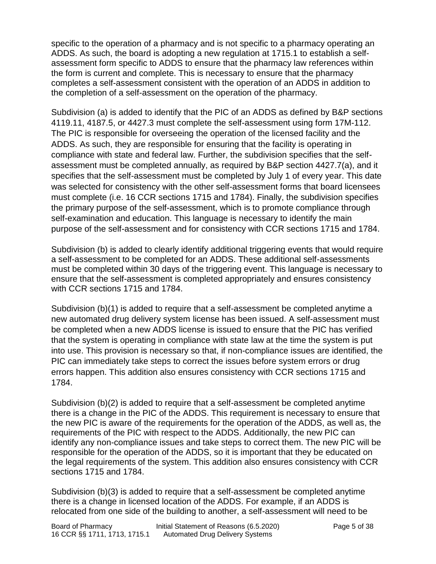specific to the operation of a pharmacy and is not specific to a pharmacy operating an ADDS. As such, the board is adopting a new regulation at 1715.1 to establish a selfassessment form specific to ADDS to ensure that the pharmacy law references within the form is current and complete. This is necessary to ensure that the pharmacy completes a self-assessment consistent with the operation of an ADDS in addition to the completion of a self-assessment on the operation of the pharmacy.

Subdivision (a) is added to identify that the PIC of an ADDS as defined by B&P sections 4119.11, 4187.5, or 4427.3 must complete the self-assessment using form 17M-112. The PIC is responsible for overseeing the operation of the licensed facility and the ADDS. As such, they are responsible for ensuring that the facility is operating in compliance with state and federal law. Further, the subdivision specifies that the selfassessment must be completed annually, as required by B&P section 4427.7(a), and it specifies that the self-assessment must be completed by July 1 of every year. This date was selected for consistency with the other self-assessment forms that board licensees must complete (i.e. 16 CCR sections 1715 and 1784). Finally, the subdivision specifies the primary purpose of the self-assessment, which is to promote compliance through self-examination and education. This language is necessary to identify the main purpose of the self-assessment and for consistency with CCR sections 1715 and 1784.

Subdivision (b) is added to clearly identify additional triggering events that would require a self-assessment to be completed for an ADDS. These additional self-assessments must be completed within 30 days of the triggering event. This language is necessary to ensure that the self-assessment is completed appropriately and ensures consistency with CCR sections 1715 and 1784.

Subdivision (b)(1) is added to require that a self-assessment be completed anytime a new automated drug delivery system license has been issued. A self-assessment must be completed when a new ADDS license is issued to ensure that the PIC has verified that the system is operating in compliance with state law at the time the system is put into use. This provision is necessary so that, if non-compliance issues are identified, the PIC can immediately take steps to correct the issues before system errors or drug errors happen. This addition also ensures consistency with CCR sections 1715 and 1784.

Subdivision (b)(2) is added to require that a self-assessment be completed anytime there is a change in the PIC of the ADDS. This requirement is necessary to ensure that the new PIC is aware of the requirements for the operation of the ADDS, as well as, the requirements of the PIC with respect to the ADDS. Additionally, the new PIC can identify any non-compliance issues and take steps to correct them. The new PIC will be responsible for the operation of the ADDS, so it is important that they be educated on the legal requirements of the system. This addition also ensures consistency with CCR sections 1715 and 1784.

Subdivision (b)(3) is added to require that a self-assessment be completed anytime there is a change in licensed location of the ADDS. For example, if an ADDS is relocated from one side of the building to another, a self-assessment will need to be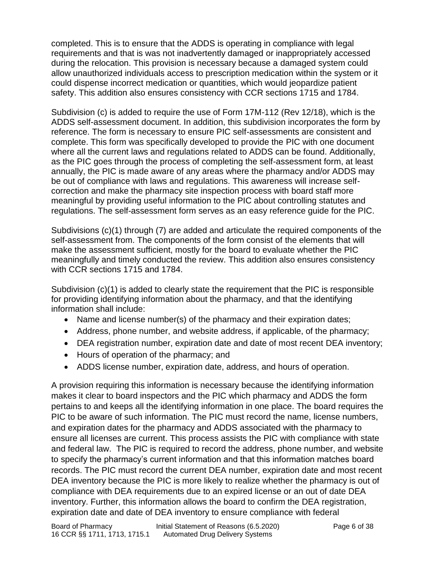completed. This is to ensure that the ADDS is operating in compliance with legal requirements and that is was not inadvertently damaged or inappropriately accessed during the relocation. This provision is necessary because a damaged system could allow unauthorized individuals access to prescription medication within the system or it could dispense incorrect medication or quantities, which would jeopardize patient safety. This addition also ensures consistency with CCR sections 1715 and 1784.

Subdivision (c) is added to require the use of Form 17M-112 (Rev 12/18), which is the ADDS self-assessment document. In addition, this subdivision incorporates the form by reference. The form is necessary to ensure PIC self-assessments are consistent and complete. This form was specifically developed to provide the PIC with one document where all the current laws and regulations related to ADDS can be found. Additionally, as the PIC goes through the process of completing the self-assessment form, at least annually, the PIC is made aware of any areas where the pharmacy and/or ADDS may be out of compliance with laws and regulations. This awareness will increase selfcorrection and make the pharmacy site inspection process with board staff more meaningful by providing useful information to the PIC about controlling statutes and regulations. The self-assessment form serves as an easy reference guide for the PIC.

Subdivisions (c)(1) through (7) are added and articulate the required components of the self-assessment from. The components of the form consist of the elements that will make the assessment sufficient, mostly for the board to evaluate whether the PIC meaningfully and timely conducted the review. This addition also ensures consistency with CCR sections 1715 and 1784.

Subdivision (c)(1) is added to clearly state the requirement that the PIC is responsible for providing identifying information about the pharmacy, and that the identifying information shall include:

- Name and license number(s) of the pharmacy and their expiration dates;
- Address, phone number, and website address, if applicable, of the pharmacy;
- DEA registration number, expiration date and date of most recent DEA inventory;
- Hours of operation of the pharmacy; and
- ADDS license number, expiration date, address, and hours of operation.

A provision requiring this information is necessary because the identifying information makes it clear to board inspectors and the PIC which pharmacy and ADDS the form pertains to and keeps all the identifying information in one place. The board requires the PIC to be aware of such information. The PIC must record the name, license numbers, and expiration dates for the pharmacy and ADDS associated with the pharmacy to ensure all licenses are current. This process assists the PIC with compliance with state and federal law. The PIC is required to record the address, phone number, and website to specify the pharmacy's current information and that this information matches board records. The PIC must record the current DEA number, expiration date and most recent DEA inventory because the PIC is more likely to realize whether the pharmacy is out of compliance with DEA requirements due to an expired license or an out of date DEA inventory. Further, this information allows the board to confirm the DEA registration, expiration date and date of DEA inventory to ensure compliance with federal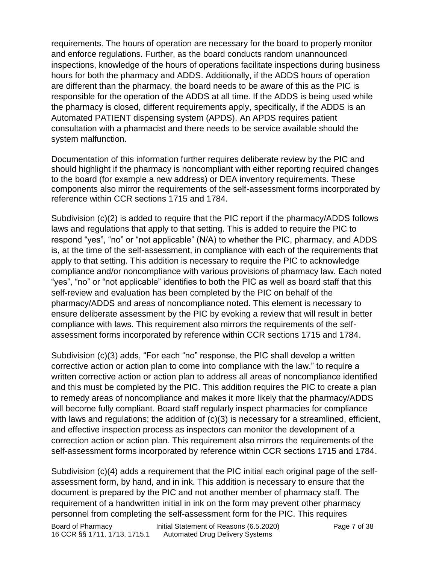requirements. The hours of operation are necessary for the board to properly monitor and enforce regulations. Further, as the board conducts random unannounced inspections, knowledge of the hours of operations facilitate inspections during business hours for both the pharmacy and ADDS. Additionally, if the ADDS hours of operation are different than the pharmacy, the board needs to be aware of this as the PIC is responsible for the operation of the ADDS at all time. If the ADDS is being used while the pharmacy is closed, different requirements apply, specifically, if the ADDS is an Automated PATIENT dispensing system (APDS). An APDS requires patient consultation with a pharmacist and there needs to be service available should the system malfunction.

Documentation of this information further requires deliberate review by the PIC and should highlight if the pharmacy is noncompliant with either reporting required changes to the board (for example a new address) or DEA inventory requirements. These components also mirror the requirements of the self-assessment forms incorporated by reference within CCR sections 1715 and 1784.

Subdivision (c)(2) is added to require that the PIC report if the pharmacy/ADDS follows laws and regulations that apply to that setting. This is added to require the PIC to respond "yes", "no" or "not applicable" (N/A) to whether the PIC, pharmacy, and ADDS is, at the time of the self-assessment, in compliance with each of the requirements that apply to that setting. This addition is necessary to require the PIC to acknowledge compliance and/or noncompliance with various provisions of pharmacy law. Each noted "yes", "no" or "not applicable" identifies to both the PIC as well as board staff that this self-review and evaluation has been completed by the PIC on behalf of the pharmacy/ADDS and areas of noncompliance noted. This element is necessary to ensure deliberate assessment by the PIC by evoking a review that will result in better compliance with laws. This requirement also mirrors the requirements of the selfassessment forms incorporated by reference within CCR sections 1715 and 1784.

Subdivision (c)(3) adds, "For each "no" response, the PIC shall develop a written corrective action or action plan to come into compliance with the law." to require a written corrective action or action plan to address all areas of noncompliance identified and this must be completed by the PIC. This addition requires the PIC to create a plan to remedy areas of noncompliance and makes it more likely that the pharmacy/ADDS will become fully compliant. Board staff regularly inspect pharmacies for compliance with laws and regulations; the addition of (c)(3) is necessary for a streamlined, efficient, and effective inspection process as inspectors can monitor the development of a correction action or action plan. This requirement also mirrors the requirements of the self-assessment forms incorporated by reference within CCR sections 1715 and 1784.

Subdivision (c)(4) adds a requirement that the PIC initial each original page of the selfassessment form, by hand, and in ink. This addition is necessary to ensure that the document is prepared by the PIC and not another member of pharmacy staff. The requirement of a handwritten initial in ink on the form may prevent other pharmacy personnel from completing the self-assessment form for the PIC. This requires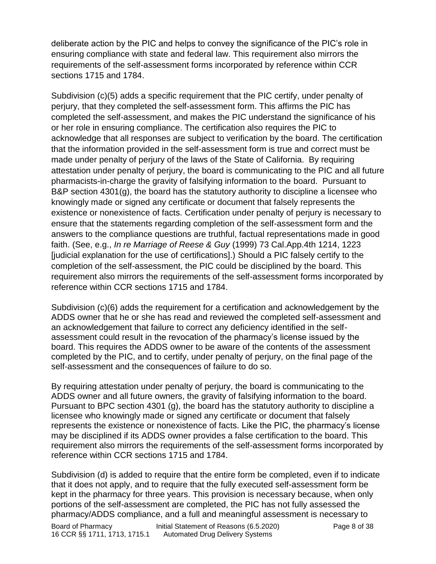deliberate action by the PIC and helps to convey the significance of the PIC's role in ensuring compliance with state and federal law. This requirement also mirrors the requirements of the self-assessment forms incorporated by reference within CCR sections 1715 and 1784.

Subdivision (c)(5) adds a specific requirement that the PIC certify, under penalty of perjury, that they completed the self-assessment form. This affirms the PIC has completed the self‐assessment, and makes the PIC understand the significance of his or her role in ensuring compliance. The certification also requires the PIC to acknowledge that all responses are subject to verification by the board. The certification that the information provided in the self‐assessment form is true and correct must be made under penalty of perjury of the laws of the State of California. By requiring attestation under penalty of perjury, the board is communicating to the PIC and all future pharmacists-in-charge the gravity of falsifying information to the board. Pursuant to B&P section 4301(g), the board has the statutory authority to discipline a licensee who knowingly made or signed any certificate or document that falsely represents the existence or nonexistence of facts. Certification under penalty of perjury is necessary to ensure that the statements regarding completion of the self-assessment form and the answers to the compliance questions are truthful, factual representations made in good faith. (See, e.g., *In re Marriage of Reese & Guy* (1999) 73 Cal.App.4th 1214, 1223 [judicial explanation for the use of certifications].) Should a PIC falsely certify to the completion of the self-assessment, the PIC could be disciplined by the board. This requirement also mirrors the requirements of the self-assessment forms incorporated by reference within CCR sections 1715 and 1784.

Subdivision (c)(6) adds the requirement for a certification and acknowledgement by the ADDS owner that he or she has read and reviewed the completed self-assessment and an acknowledgement that failure to correct any deficiency identified in the selfassessment could result in the revocation of the pharmacy's license issued by the board. This requires the ADDS owner to be aware of the contents of the assessment completed by the PIC, and to certify, under penalty of perjury, on the final page of the self-assessment and the consequences of failure to do so.

By requiring attestation under penalty of perjury, the board is communicating to the ADDS owner and all future owners, the gravity of falsifying information to the board. Pursuant to BPC section 4301 (g), the board has the statutory authority to discipline a licensee who knowingly made or signed any certificate or document that falsely represents the existence or nonexistence of facts. Like the PIC, the pharmacy's license may be disciplined if its ADDS owner provides a false certification to the board. This requirement also mirrors the requirements of the self-assessment forms incorporated by reference within CCR sections 1715 and 1784.

Subdivision (d) is added to require that the entire form be completed, even if to indicate that it does not apply, and to require that the fully executed self-assessment form be kept in the pharmacy for three years. This provision is necessary because, when only portions of the self-assessment are completed, the PIC has not fully assessed the pharmacy/ADDS compliance, and a full and meaningful assessment is necessary to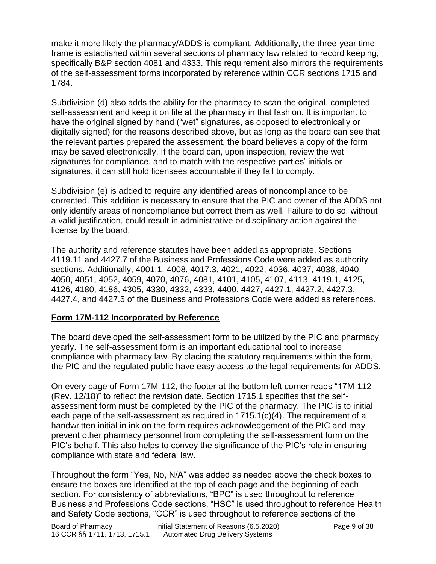make it more likely the pharmacy/ADDS is compliant. Additionally, the three-year time frame is established within several sections of pharmacy law related to record keeping, specifically B&P section 4081 and 4333. This requirement also mirrors the requirements of the self-assessment forms incorporated by reference within CCR sections 1715 and 1784.

Subdivision (d) also adds the ability for the pharmacy to scan the original, completed self-assessment and keep it on file at the pharmacy in that fashion. It is important to have the original signed by hand ("wet" signatures, as opposed to electronically or digitally signed) for the reasons described above, but as long as the board can see that the relevant parties prepared the assessment, the board believes a copy of the form may be saved electronically. If the board can, upon inspection, review the wet signatures for compliance, and to match with the respective parties' initials or signatures, it can still hold licensees accountable if they fail to comply.

Subdivision (e) is added to require any identified areas of noncompliance to be corrected. This addition is necessary to ensure that the PIC and owner of the ADDS not only identify areas of noncompliance but correct them as well. Failure to do so, without a valid justification, could result in administrative or disciplinary action against the license by the board.

The authority and reference statutes have been added as appropriate. Sections 4119.11 and 4427.7 of the Business and Professions Code were added as authority sections. Additionally, 4001.1, 4008, 4017.3, 4021, 4022, 4036, 4037, 4038, 4040, 4050, 4051, 4052, 4059, 4070, 4076, 4081, 4101, 4105, 4107, 4113, 4119.1, 4125, 4126, 4180, 4186, 4305, 4330, 4332, 4333, 4400, 4427, 4427.1, 4427.2, 4427.3, 4427.4, and 4427.5 of the Business and Professions Code were added as references.

## **Form 17M-112 Incorporated by Reference**

The board developed the self-assessment form to be utilized by the PIC and pharmacy yearly. The self-assessment form is an important educational tool to increase compliance with pharmacy law. By placing the statutory requirements within the form, the PIC and the regulated public have easy access to the legal requirements for ADDS.

On every page of Form 17M-112, the footer at the bottom left corner reads "17M-112 (Rev. 12/18)" to reflect the revision date. Section 1715.1 specifies that the selfassessment form must be completed by the PIC of the pharmacy. The PIC is to initial each page of the self-assessment as required in 1715.1(c)(4). The requirement of a handwritten initial in ink on the form requires acknowledgement of the PIC and may prevent other pharmacy personnel from completing the self-assessment form on the PIC's behalf. This also helps to convey the significance of the PIC's role in ensuring compliance with state and federal law.

Throughout the form "Yes, No, N/A" was added as needed above the check boxes to ensure the boxes are identified at the top of each page and the beginning of each section. For consistency of abbreviations, "BPC" is used throughout to reference Business and Professions Code sections, "HSC" is used throughout to reference Health and Safety Code sections, "CCR" is used throughout to reference sections of the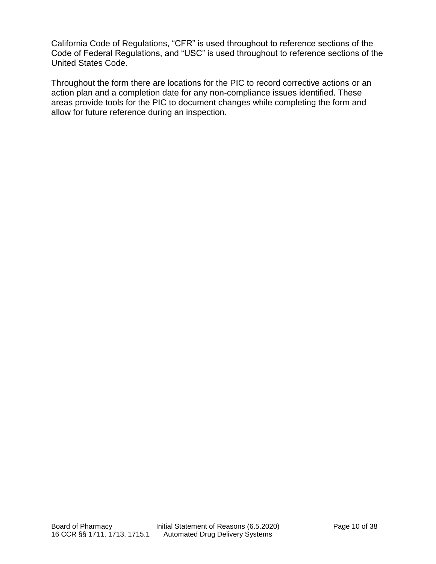California Code of Regulations, "CFR" is used throughout to reference sections of the Code of Federal Regulations, and "USC" is used throughout to reference sections of the United States Code.

Throughout the form there are locations for the PIC to record corrective actions or an action plan and a completion date for any non-compliance issues identified. These areas provide tools for the PIC to document changes while completing the form and allow for future reference during an inspection.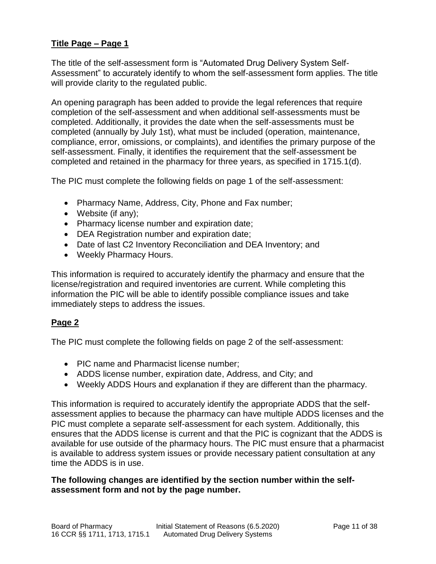## **Title Page – Page 1**

The title of the self-assessment form is "Automated Drug Delivery System Self-Assessment" to accurately identify to whom the self-assessment form applies. The title will provide clarity to the regulated public.

An opening paragraph has been added to provide the legal references that require completion of the self-assessment and when additional self-assessments must be completed. Additionally, it provides the date when the self-assessments must be completed (annually by July 1st), what must be included (operation, maintenance, compliance, error, omissions, or complaints), and identifies the primary purpose of the self-assessment. Finally, it identifies the requirement that the self-assessment be completed and retained in the pharmacy for three years, as specified in 1715.1(d).

The PIC must complete the following fields on page 1 of the self-assessment:

- Pharmacy Name, Address, City, Phone and Fax number;
- Website (if any);
- Pharmacy license number and expiration date;
- DEA Registration number and expiration date;
- Date of last C2 Inventory Reconciliation and DEA Inventory; and
- Weekly Pharmacy Hours.

This information is required to accurately identify the pharmacy and ensure that the license/registration and required inventories are current. While completing this information the PIC will be able to identify possible compliance issues and take immediately steps to address the issues.

## **Page 2**

The PIC must complete the following fields on page 2 of the self-assessment:

- PIC name and Pharmacist license number;
- ADDS license number, expiration date, Address, and City; and
- Weekly ADDS Hours and explanation if they are different than the pharmacy.

This information is required to accurately identify the appropriate ADDS that the selfassessment applies to because the pharmacy can have multiple ADDS licenses and the PIC must complete a separate self-assessment for each system. Additionally, this ensures that the ADDS license is current and that the PIC is cognizant that the ADDS is available for use outside of the pharmacy hours. The PIC must ensure that a pharmacist is available to address system issues or provide necessary patient consultation at any time the ADDS is in use.

### **The following changes are identified by the section number within the selfassessment form and not by the page number.**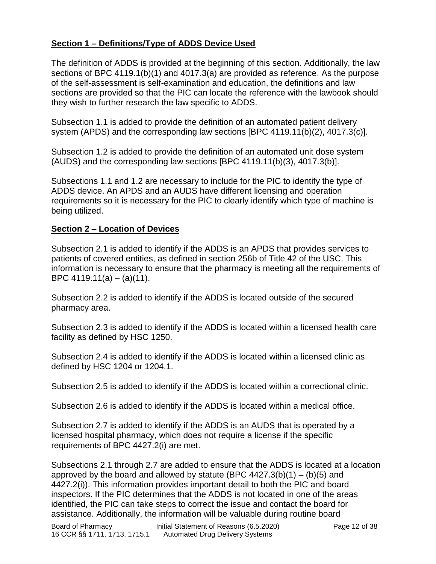# **Section 1 – Definitions/Type of ADDS Device Used**

The definition of ADDS is provided at the beginning of this section. Additionally, the law sections of BPC 4119.1(b)(1) and 4017.3(a) are provided as reference. As the purpose of the self-assessment is self-examination and education, the definitions and law sections are provided so that the PIC can locate the reference with the lawbook should they wish to further research the law specific to ADDS.

Subsection 1.1 is added to provide the definition of an automated patient delivery system (APDS) and the corresponding law sections [BPC 4119.11(b)(2), 4017.3(c)].

Subsection 1.2 is added to provide the definition of an automated unit dose system (AUDS) and the corresponding law sections [BPC 4119.11(b)(3), 4017.3(b)].

Subsections 1.1 and 1.2 are necessary to include for the PIC to identify the type of ADDS device. An APDS and an AUDS have different licensing and operation requirements so it is necessary for the PIC to clearly identify which type of machine is being utilized.

### **Section 2 – Location of Devices**

Subsection 2.1 is added to identify if the ADDS is an APDS that provides services to patients of covered entities, as defined in section 256b of Title 42 of the USC. This information is necessary to ensure that the pharmacy is meeting all the requirements of BPC  $4119.11(a) - (a)(11)$ .

Subsection 2.2 is added to identify if the ADDS is located outside of the secured pharmacy area.

Subsection 2.3 is added to identify if the ADDS is located within a licensed health care facility as defined by HSC 1250.

Subsection 2.4 is added to identify if the ADDS is located within a licensed clinic as defined by HSC 1204 or 1204.1.

Subsection 2.5 is added to identify if the ADDS is located within a correctional clinic.

Subsection 2.6 is added to identify if the ADDS is located within a medical office.

Subsection 2.7 is added to identify if the ADDS is an AUDS that is operated by a licensed hospital pharmacy, which does not require a license if the specific requirements of BPC 4427.2(i) are met.

Subsections 2.1 through 2.7 are added to ensure that the ADDS is located at a location approved by the board and allowed by statute (BPC  $4427.3(b)(1) - (b)(5)$  and 4427.2(i)). This information provides important detail to both the PIC and board inspectors. If the PIC determines that the ADDS is not located in one of the areas identified, the PIC can take steps to correct the issue and contact the board for assistance. Additionally, the information will be valuable during routine board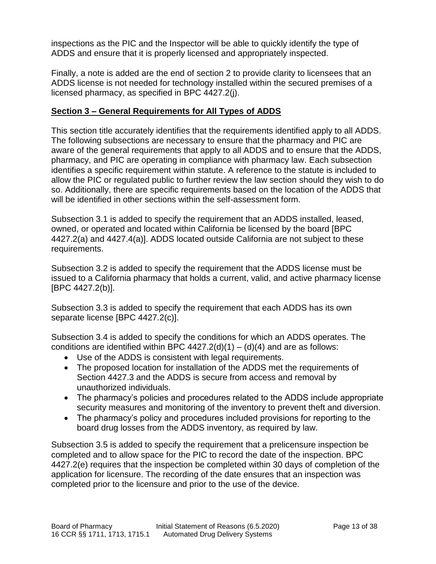inspections as the PIC and the Inspector will be able to quickly identify the type of ADDS and ensure that it is properly licensed and appropriately inspected.

Finally, a note is added are the end of section 2 to provide clarity to licensees that an ADDS license is not needed for technology installed within the secured premises of a licensed pharmacy, as specified in BPC 4427.2(j).

## **Section 3 – General Requirements for All Types of ADDS**

This section title accurately identifies that the requirements identified apply to all ADDS. The following subsections are necessary to ensure that the pharmacy and PIC are aware of the general requirements that apply to all ADDS and to ensure that the ADDS, pharmacy, and PIC are operating in compliance with pharmacy law. Each subsection identifies a specific requirement within statute. A reference to the statute is included to allow the PIC or regulated public to further review the law section should they wish to do so. Additionally, there are specific requirements based on the location of the ADDS that will be identified in other sections within the self-assessment form.

Subsection 3.1 is added to specify the requirement that an ADDS installed, leased, owned, or operated and located within California be licensed by the board [BPC 4427.2(a) and 4427.4(a)]. ADDS located outside California are not subject to these requirements.

Subsection 3.2 is added to specify the requirement that the ADDS license must be issued to a California pharmacy that holds a current, valid, and active pharmacy license [BPC 4427.2(b)].

Subsection 3.3 is added to specify the requirement that each ADDS has its own separate license [BPC 4427.2(c)].

Subsection 3.4 is added to specify the conditions for which an ADDS operates. The conditions are identified within BPC  $4427.2(d)(1) - (d)(4)$  and are as follows:

- Use of the ADDS is consistent with legal requirements.
- The proposed location for installation of the ADDS met the requirements of Section 4427.3 and the ADDS is secure from access and removal by unauthorized individuals.
- The pharmacy's policies and procedures related to the ADDS include appropriate security measures and monitoring of the inventory to prevent theft and diversion.
- The pharmacy's policy and procedures included provisions for reporting to the board drug losses from the ADDS inventory, as required by law.

Subsection 3.5 is added to specify the requirement that a prelicensure inspection be completed and to allow space for the PIC to record the date of the inspection. BPC 4427.2(e) requires that the inspection be completed within 30 days of completion of the application for licensure. The recording of the date ensures that an inspection was completed prior to the licensure and prior to the use of the device.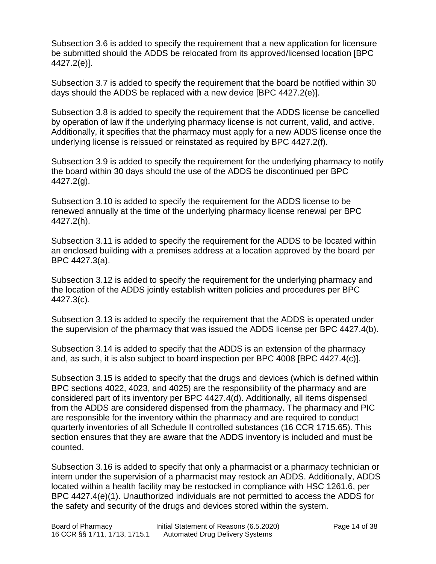Subsection 3.6 is added to specify the requirement that a new application for licensure be submitted should the ADDS be relocated from its approved/licensed location [BPC 4427.2(e)].

Subsection 3.7 is added to specify the requirement that the board be notified within 30 days should the ADDS be replaced with a new device [BPC 4427.2(e)].

Subsection 3.8 is added to specify the requirement that the ADDS license be cancelled by operation of law if the underlying pharmacy license is not current, valid, and active. Additionally, it specifies that the pharmacy must apply for a new ADDS license once the underlying license is reissued or reinstated as required by BPC 4427.2(f).

Subsection 3.9 is added to specify the requirement for the underlying pharmacy to notify the board within 30 days should the use of the ADDS be discontinued per BPC 4427.2(g).

Subsection 3.10 is added to specify the requirement for the ADDS license to be renewed annually at the time of the underlying pharmacy license renewal per BPC 4427.2(h).

Subsection 3.11 is added to specify the requirement for the ADDS to be located within an enclosed building with a premises address at a location approved by the board per BPC 4427.3(a).

Subsection 3.12 is added to specify the requirement for the underlying pharmacy and the location of the ADDS jointly establish written policies and procedures per BPC 4427.3(c).

Subsection 3.13 is added to specify the requirement that the ADDS is operated under the supervision of the pharmacy that was issued the ADDS license per BPC 4427.4(b).

Subsection 3.14 is added to specify that the ADDS is an extension of the pharmacy and, as such, it is also subject to board inspection per BPC 4008 [BPC 4427.4(c)].

Subsection 3.15 is added to specify that the drugs and devices (which is defined within BPC sections 4022, 4023, and 4025) are the responsibility of the pharmacy and are considered part of its inventory per BPC 4427.4(d). Additionally, all items dispensed from the ADDS are considered dispensed from the pharmacy. The pharmacy and PIC are responsible for the inventory within the pharmacy and are required to conduct quarterly inventories of all Schedule II controlled substances (16 CCR 1715.65). This section ensures that they are aware that the ADDS inventory is included and must be counted.

Subsection 3.16 is added to specify that only a pharmacist or a pharmacy technician or intern under the supervision of a pharmacist may restock an ADDS. Additionally, ADDS located within a health facility may be restocked in compliance with HSC 1261.6, per BPC 4427.4(e)(1). Unauthorized individuals are not permitted to access the ADDS for the safety and security of the drugs and devices stored within the system.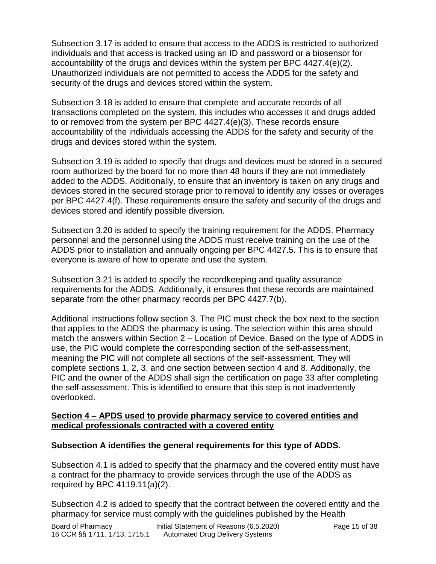Subsection 3.17 is added to ensure that access to the ADDS is restricted to authorized individuals and that access is tracked using an ID and password or a biosensor for accountability of the drugs and devices within the system per BPC 4427.4(e)(2). Unauthorized individuals are not permitted to access the ADDS for the safety and security of the drugs and devices stored within the system.

Subsection 3.18 is added to ensure that complete and accurate records of all transactions completed on the system, this includes who accesses it and drugs added to or removed from the system per BPC 4427.4(e)(3). These records ensure accountability of the individuals accessing the ADDS for the safety and security of the drugs and devices stored within the system.

Subsection 3.19 is added to specify that drugs and devices must be stored in a secured room authorized by the board for no more than 48 hours if they are not immediately added to the ADDS. Additionally, to ensure that an inventory is taken on any drugs and devices stored in the secured storage prior to removal to identify any losses or overages per BPC 4427.4(f). These requirements ensure the safety and security of the drugs and devices stored and identify possible diversion.

Subsection 3.20 is added to specify the training requirement for the ADDS. Pharmacy personnel and the personnel using the ADDS must receive training on the use of the ADDS prior to installation and annually ongoing per BPC 4427.5. This is to ensure that everyone is aware of how to operate and use the system.

Subsection 3.21 is added to specify the recordkeeping and quality assurance requirements for the ADDS. Additionally, it ensures that these records are maintained separate from the other pharmacy records per BPC 4427.7(b).

Additional instructions follow section 3. The PIC must check the box next to the section that applies to the ADDS the pharmacy is using. The selection within this area should match the answers within Section 2 – Location of Device. Based on the type of ADDS in use, the PIC would complete the corresponding section of the self-assessment, meaning the PIC will not complete all sections of the self-assessment. They will complete sections 1, 2, 3, and one section between section 4 and 8. Additionally, the PIC and the owner of the ADDS shall sign the certification on page 33 after completing the self-assessment. This is identified to ensure that this step is not inadvertently overlooked.

#### **Section 4 – APDS used to provide pharmacy service to covered entities and medical professionals contracted with a covered entity**

## **Subsection A identifies the general requirements for this type of ADDS.**

Subsection 4.1 is added to specify that the pharmacy and the covered entity must have a contract for the pharmacy to provide services through the use of the ADDS as required by BPC 4119.11(a)(2).

Subsection 4.2 is added to specify that the contract between the covered entity and the pharmacy for service must comply with the guidelines published by the Health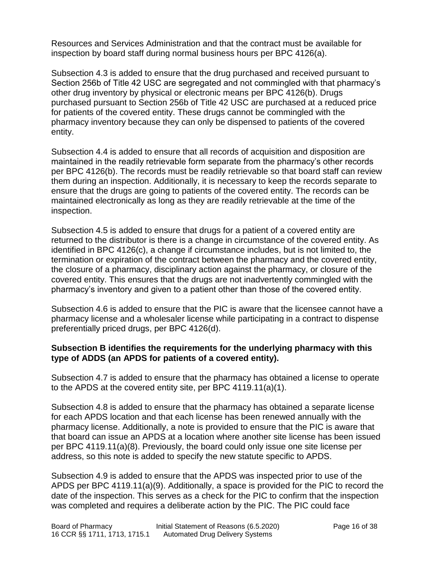Resources and Services Administration and that the contract must be available for inspection by board staff during normal business hours per BPC 4126(a).

Subsection 4.3 is added to ensure that the drug purchased and received pursuant to Section 256b of Title 42 USC are segregated and not commingled with that pharmacy's other drug inventory by physical or electronic means per BPC 4126(b). Drugs purchased pursuant to Section 256b of Title 42 USC are purchased at a reduced price for patients of the covered entity. These drugs cannot be commingled with the pharmacy inventory because they can only be dispensed to patients of the covered entity.

Subsection 4.4 is added to ensure that all records of acquisition and disposition are maintained in the readily retrievable form separate from the pharmacy's other records per BPC 4126(b). The records must be readily retrievable so that board staff can review them during an inspection. Additionally, it is necessary to keep the records separate to ensure that the drugs are going to patients of the covered entity. The records can be maintained electronically as long as they are readily retrievable at the time of the inspection.

Subsection 4.5 is added to ensure that drugs for a patient of a covered entity are returned to the distributor is there is a change in circumstance of the covered entity. As identified in BPC 4126(c), a change if circumstance includes, but is not limited to, the termination or expiration of the contract between the pharmacy and the covered entity, the closure of a pharmacy, disciplinary action against the pharmacy, or closure of the covered entity. This ensures that the drugs are not inadvertently commingled with the pharmacy's inventory and given to a patient other than those of the covered entity.

Subsection 4.6 is added to ensure that the PIC is aware that the licensee cannot have a pharmacy license and a wholesaler license while participating in a contract to dispense preferentially priced drugs, per BPC 4126(d).

### **Subsection B identifies the requirements for the underlying pharmacy with this type of ADDS (an APDS for patients of a covered entity).**

Subsection 4.7 is added to ensure that the pharmacy has obtained a license to operate to the APDS at the covered entity site, per BPC 4119.11(a)(1).

Subsection 4.8 is added to ensure that the pharmacy has obtained a separate license for each APDS location and that each license has been renewed annually with the pharmacy license. Additionally, a note is provided to ensure that the PIC is aware that that board can issue an APDS at a location where another site license has been issued per BPC 4119.11(a)(8). Previously, the board could only issue one site license per address, so this note is added to specify the new statute specific to APDS.

Subsection 4.9 is added to ensure that the APDS was inspected prior to use of the APDS per BPC 4119.11(a)(9). Additionally, a space is provided for the PIC to record the date of the inspection. This serves as a check for the PIC to confirm that the inspection was completed and requires a deliberate action by the PIC. The PIC could face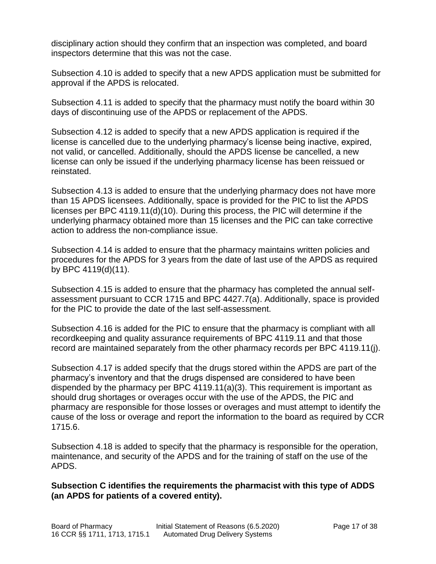disciplinary action should they confirm that an inspection was completed, and board inspectors determine that this was not the case.

Subsection 4.10 is added to specify that a new APDS application must be submitted for approval if the APDS is relocated.

Subsection 4.11 is added to specify that the pharmacy must notify the board within 30 days of discontinuing use of the APDS or replacement of the APDS.

Subsection 4.12 is added to specify that a new APDS application is required if the license is cancelled due to the underlying pharmacy's license being inactive, expired, not valid, or cancelled. Additionally, should the APDS license be cancelled, a new license can only be issued if the underlying pharmacy license has been reissued or reinstated.

Subsection 4.13 is added to ensure that the underlying pharmacy does not have more than 15 APDS licensees. Additionally, space is provided for the PIC to list the APDS licenses per BPC 4119.11(d)(10). During this process, the PIC will determine if the underlying pharmacy obtained more than 15 licenses and the PIC can take corrective action to address the non-compliance issue.

Subsection 4.14 is added to ensure that the pharmacy maintains written policies and procedures for the APDS for 3 years from the date of last use of the APDS as required by BPC 4119(d)(11).

Subsection 4.15 is added to ensure that the pharmacy has completed the annual selfassessment pursuant to CCR 1715 and BPC 4427.7(a). Additionally, space is provided for the PIC to provide the date of the last self-assessment.

Subsection 4.16 is added for the PIC to ensure that the pharmacy is compliant with all recordkeeping and quality assurance requirements of BPC 4119.11 and that those record are maintained separately from the other pharmacy records per BPC 4119.11(j).

Subsection 4.17 is added specify that the drugs stored within the APDS are part of the pharmacy's inventory and that the drugs dispensed are considered to have been dispended by the pharmacy per BPC 4119.11(a)(3). This requirement is important as should drug shortages or overages occur with the use of the APDS, the PIC and pharmacy are responsible for those losses or overages and must attempt to identify the cause of the loss or overage and report the information to the board as required by CCR 1715.6.

Subsection 4.18 is added to specify that the pharmacy is responsible for the operation, maintenance, and security of the APDS and for the training of staff on the use of the APDS.

### **Subsection C identifies the requirements the pharmacist with this type of ADDS (an APDS for patients of a covered entity).**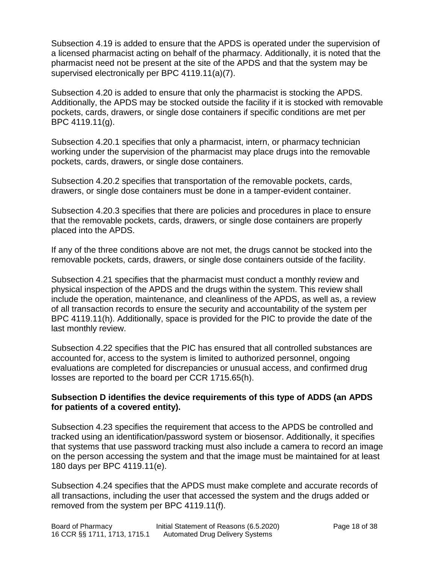Subsection 4.19 is added to ensure that the APDS is operated under the supervision of a licensed pharmacist acting on behalf of the pharmacy. Additionally, it is noted that the pharmacist need not be present at the site of the APDS and that the system may be supervised electronically per BPC 4119.11(a)(7).

Subsection 4.20 is added to ensure that only the pharmacist is stocking the APDS. Additionally, the APDS may be stocked outside the facility if it is stocked with removable pockets, cards, drawers, or single dose containers if specific conditions are met per BPC 4119.11(g).

Subsection 4.20.1 specifies that only a pharmacist, intern, or pharmacy technician working under the supervision of the pharmacist may place drugs into the removable pockets, cards, drawers, or single dose containers.

Subsection 4.20.2 specifies that transportation of the removable pockets, cards, drawers, or single dose containers must be done in a tamper-evident container.

Subsection 4.20.3 specifies that there are policies and procedures in place to ensure that the removable pockets, cards, drawers, or single dose containers are properly placed into the APDS.

If any of the three conditions above are not met, the drugs cannot be stocked into the removable pockets, cards, drawers, or single dose containers outside of the facility.

Subsection 4.21 specifies that the pharmacist must conduct a monthly review and physical inspection of the APDS and the drugs within the system. This review shall include the operation, maintenance, and cleanliness of the APDS, as well as, a review of all transaction records to ensure the security and accountability of the system per BPC 4119.11(h). Additionally, space is provided for the PIC to provide the date of the last monthly review.

Subsection 4.22 specifies that the PIC has ensured that all controlled substances are accounted for, access to the system is limited to authorized personnel, ongoing evaluations are completed for discrepancies or unusual access, and confirmed drug losses are reported to the board per CCR 1715.65(h).

#### **Subsection D identifies the device requirements of this type of ADDS (an APDS for patients of a covered entity).**

Subsection 4.23 specifies the requirement that access to the APDS be controlled and tracked using an identification/password system or biosensor. Additionally, it specifies that systems that use password tracking must also include a camera to record an image on the person accessing the system and that the image must be maintained for at least 180 days per BPC 4119.11(e).

Subsection 4.24 specifies that the APDS must make complete and accurate records of all transactions, including the user that accessed the system and the drugs added or removed from the system per BPC 4119.11(f).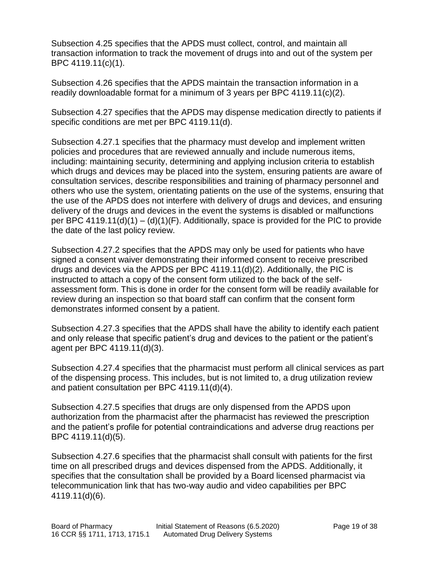Subsection 4.25 specifies that the APDS must collect, control, and maintain all transaction information to track the movement of drugs into and out of the system per BPC 4119.11(c)(1).

Subsection 4.26 specifies that the APDS maintain the transaction information in a readily downloadable format for a minimum of 3 years per BPC 4119.11(c)(2).

Subsection 4.27 specifies that the APDS may dispense medication directly to patients if specific conditions are met per BPC 4119.11(d).

Subsection 4.27.1 specifies that the pharmacy must develop and implement written policies and procedures that are reviewed annually and include numerous items, including: maintaining security, determining and applying inclusion criteria to establish which drugs and devices may be placed into the system, ensuring patients are aware of consultation services, describe responsibilities and training of pharmacy personnel and others who use the system, orientating patients on the use of the systems, ensuring that the use of the APDS does not interfere with delivery of drugs and devices, and ensuring delivery of the drugs and devices in the event the systems is disabled or malfunctions per BPC 4119.11(d)(1) – (d)(1)(F). Additionally, space is provided for the PIC to provide the date of the last policy review.

Subsection 4.27.2 specifies that the APDS may only be used for patients who have signed a consent waiver demonstrating their informed consent to receive prescribed drugs and devices via the APDS per BPC 4119.11(d)(2). Additionally, the PIC is instructed to attach a copy of the consent form utilized to the back of the selfassessment form. This is done in order for the consent form will be readily available for review during an inspection so that board staff can confirm that the consent form demonstrates informed consent by a patient.

Subsection 4.27.3 specifies that the APDS shall have the ability to identify each patient and only release that specific patient's drug and devices to the patient or the patient's agent per BPC 4119.11(d)(3).

Subsection 4.27.4 specifies that the pharmacist must perform all clinical services as part of the dispensing process. This includes, but is not limited to, a drug utilization review and patient consultation per BPC 4119.11(d)(4).

Subsection 4.27.5 specifies that drugs are only dispensed from the APDS upon authorization from the pharmacist after the pharmacist has reviewed the prescription and the patient's profile for potential contraindications and adverse drug reactions per BPC 4119.11(d)(5).

Subsection 4.27.6 specifies that the pharmacist shall consult with patients for the first time on all prescribed drugs and devices dispensed from the APDS. Additionally, it specifies that the consultation shall be provided by a Board licensed pharmacist via telecommunication link that has two-way audio and video capabilities per BPC 4119.11(d)(6).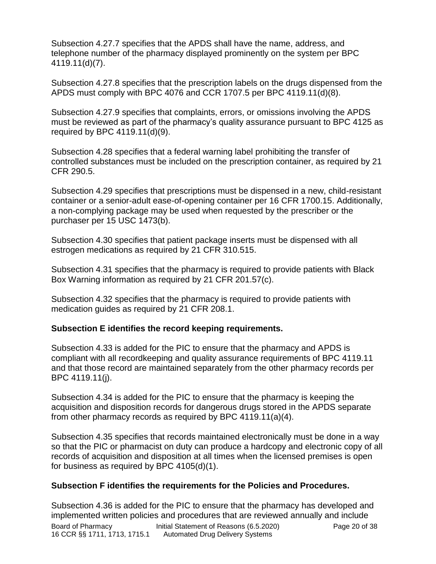Subsection 4.27.7 specifies that the APDS shall have the name, address, and telephone number of the pharmacy displayed prominently on the system per BPC 4119.11(d)(7).

Subsection 4.27.8 specifies that the prescription labels on the drugs dispensed from the APDS must comply with BPC 4076 and CCR 1707.5 per BPC 4119.11(d)(8).

Subsection 4.27.9 specifies that complaints, errors, or omissions involving the APDS must be reviewed as part of the pharmacy's quality assurance pursuant to BPC 4125 as required by BPC 4119.11(d)(9).

Subsection 4.28 specifies that a federal warning label prohibiting the transfer of controlled substances must be included on the prescription container, as required by 21 CFR 290.5.

Subsection 4.29 specifies that prescriptions must be dispensed in a new, child-resistant container or a senior-adult ease-of-opening container per 16 CFR 1700.15. Additionally, a non-complying package may be used when requested by the prescriber or the purchaser per 15 USC 1473(b).

Subsection 4.30 specifies that patient package inserts must be dispensed with all estrogen medications as required by 21 CFR 310.515.

Subsection 4.31 specifies that the pharmacy is required to provide patients with Black Box Warning information as required by 21 CFR 201.57(c).

Subsection 4.32 specifies that the pharmacy is required to provide patients with medication guides as required by 21 CFR 208.1.

## **Subsection E identifies the record keeping requirements.**

Subsection 4.33 is added for the PIC to ensure that the pharmacy and APDS is compliant with all recordkeeping and quality assurance requirements of BPC 4119.11 and that those record are maintained separately from the other pharmacy records per BPC 4119.11(j).

Subsection 4.34 is added for the PIC to ensure that the pharmacy is keeping the acquisition and disposition records for dangerous drugs stored in the APDS separate from other pharmacy records as required by BPC 4119.11(a)(4).

Subsection 4.35 specifies that records maintained electronically must be done in a way so that the PIC or pharmacist on duty can produce a hardcopy and electronic copy of all records of acquisition and disposition at all times when the licensed premises is open for business as required by BPC 4105(d)(1).

## **Subsection F identifies the requirements for the Policies and Procedures.**

Board of Pharmacy Initial Statement of Reasons (6.5.2020) Page 20 of 38 16 CCR §§ 1711, 1713, 1715.1 Automated Drug Delivery Systems Subsection 4.36 is added for the PIC to ensure that the pharmacy has developed and implemented written policies and procedures that are reviewed annually and include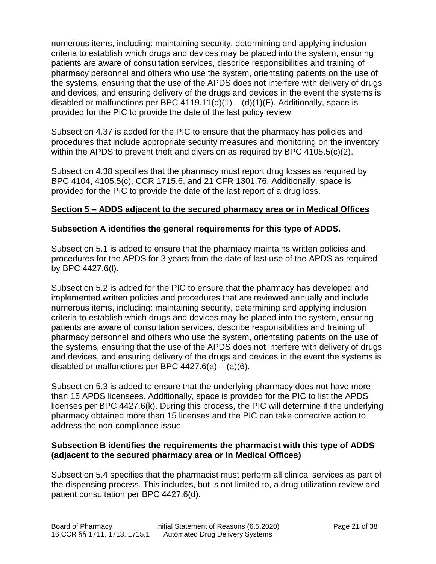numerous items, including: maintaining security, determining and applying inclusion criteria to establish which drugs and devices may be placed into the system, ensuring patients are aware of consultation services, describe responsibilities and training of pharmacy personnel and others who use the system, orientating patients on the use of the systems, ensuring that the use of the APDS does not interfere with delivery of drugs and devices, and ensuring delivery of the drugs and devices in the event the systems is disabled or malfunctions per BPC  $4119.11(d)(1) - (d)(1)(F)$ . Additionally, space is provided for the PIC to provide the date of the last policy review.

Subsection 4.37 is added for the PIC to ensure that the pharmacy has policies and procedures that include appropriate security measures and monitoring on the inventory within the APDS to prevent theft and diversion as required by BPC 4105.5(c)(2).

Subsection 4.38 specifies that the pharmacy must report drug losses as required by BPC 4104, 4105.5(c), CCR 1715.6, and 21 CFR 1301.76. Additionally, space is provided for the PIC to provide the date of the last report of a drug loss.

### **Section 5 – ADDS adjacent to the secured pharmacy area or in Medical Offices**

### **Subsection A identifies the general requirements for this type of ADDS.**

Subsection 5.1 is added to ensure that the pharmacy maintains written policies and procedures for the APDS for 3 years from the date of last use of the APDS as required by BPC 4427.6(l).

Subsection 5.2 is added for the PIC to ensure that the pharmacy has developed and implemented written policies and procedures that are reviewed annually and include numerous items, including: maintaining security, determining and applying inclusion criteria to establish which drugs and devices may be placed into the system, ensuring patients are aware of consultation services, describe responsibilities and training of pharmacy personnel and others who use the system, orientating patients on the use of the systems, ensuring that the use of the APDS does not interfere with delivery of drugs and devices, and ensuring delivery of the drugs and devices in the event the systems is disabled or malfunctions per BPC  $4427.6(a) - (a)(6)$ .

Subsection 5.3 is added to ensure that the underlying pharmacy does not have more than 15 APDS licensees. Additionally, space is provided for the PIC to list the APDS licenses per BPC 4427.6(k). During this process, the PIC will determine if the underlying pharmacy obtained more than 15 licenses and the PIC can take corrective action to address the non-compliance issue.

### **Subsection B identifies the requirements the pharmacist with this type of ADDS (adjacent to the secured pharmacy area or in Medical Offices)**

Subsection 5.4 specifies that the pharmacist must perform all clinical services as part of the dispensing process. This includes, but is not limited to, a drug utilization review and patient consultation per BPC 4427.6(d).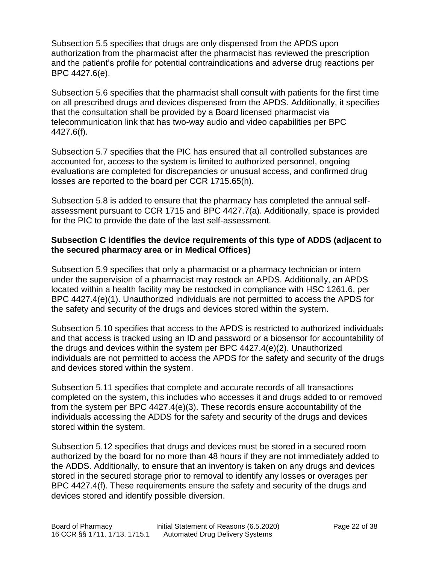Subsection 5.5 specifies that drugs are only dispensed from the APDS upon authorization from the pharmacist after the pharmacist has reviewed the prescription and the patient's profile for potential contraindications and adverse drug reactions per BPC 4427.6(e).

Subsection 5.6 specifies that the pharmacist shall consult with patients for the first time on all prescribed drugs and devices dispensed from the APDS. Additionally, it specifies that the consultation shall be provided by a Board licensed pharmacist via telecommunication link that has two-way audio and video capabilities per BPC 4427.6(f).

Subsection 5.7 specifies that the PIC has ensured that all controlled substances are accounted for, access to the system is limited to authorized personnel, ongoing evaluations are completed for discrepancies or unusual access, and confirmed drug losses are reported to the board per CCR 1715.65(h).

Subsection 5.8 is added to ensure that the pharmacy has completed the annual selfassessment pursuant to CCR 1715 and BPC 4427.7(a). Additionally, space is provided for the PIC to provide the date of the last self-assessment.

### **Subsection C identifies the device requirements of this type of ADDS (adjacent to the secured pharmacy area or in Medical Offices)**

Subsection 5.9 specifies that only a pharmacist or a pharmacy technician or intern under the supervision of a pharmacist may restock an APDS. Additionally, an APDS located within a health facility may be restocked in compliance with HSC 1261.6, per BPC 4427.4(e)(1). Unauthorized individuals are not permitted to access the APDS for the safety and security of the drugs and devices stored within the system.

Subsection 5.10 specifies that access to the APDS is restricted to authorized individuals and that access is tracked using an ID and password or a biosensor for accountability of the drugs and devices within the system per BPC 4427.4(e)(2). Unauthorized individuals are not permitted to access the APDS for the safety and security of the drugs and devices stored within the system.

Subsection 5.11 specifies that complete and accurate records of all transactions completed on the system, this includes who accesses it and drugs added to or removed from the system per BPC 4427.4(e)(3). These records ensure accountability of the individuals accessing the ADDS for the safety and security of the drugs and devices stored within the system.

Subsection 5.12 specifies that drugs and devices must be stored in a secured room authorized by the board for no more than 48 hours if they are not immediately added to the ADDS. Additionally, to ensure that an inventory is taken on any drugs and devices stored in the secured storage prior to removal to identify any losses or overages per BPC 4427.4(f). These requirements ensure the safety and security of the drugs and devices stored and identify possible diversion.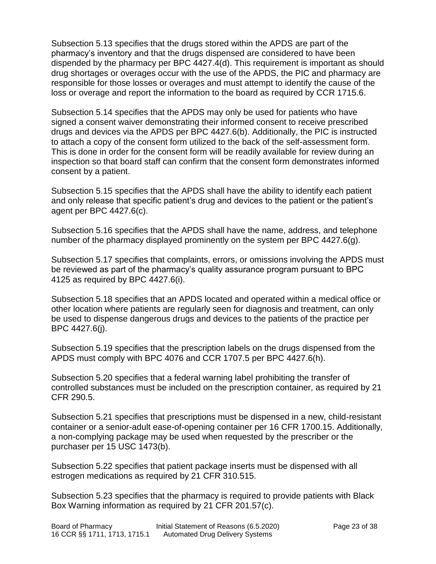Subsection 5.13 specifies that the drugs stored within the APDS are part of the pharmacy's inventory and that the drugs dispensed are considered to have been dispended by the pharmacy per BPC 4427.4(d). This requirement is important as should drug shortages or overages occur with the use of the APDS, the PIC and pharmacy are responsible for those losses or overages and must attempt to identify the cause of the loss or overage and report the information to the board as required by CCR 1715.6.

Subsection 5.14 specifies that the APDS may only be used for patients who have signed a consent waiver demonstrating their informed consent to receive prescribed drugs and devices via the APDS per BPC 4427.6(b). Additionally, the PIC is instructed to attach a copy of the consent form utilized to the back of the self-assessment form. This is done in order for the consent form will be readily available for review during an inspection so that board staff can confirm that the consent form demonstrates informed consent by a patient.

Subsection 5.15 specifies that the APDS shall have the ability to identify each patient and only release that specific patient's drug and devices to the patient or the patient's agent per BPC 4427.6(c).

Subsection 5.16 specifies that the APDS shall have the name, address, and telephone number of the pharmacy displayed prominently on the system per BPC 4427.6(g).

Subsection 5.17 specifies that complaints, errors, or omissions involving the APDS must be reviewed as part of the pharmacy's quality assurance program pursuant to BPC 4125 as required by BPC 4427.6(i).

Subsection 5.18 specifies that an APDS located and operated within a medical office or other location where patients are regularly seen for diagnosis and treatment, can only be used to dispense dangerous drugs and devices to the patients of the practice per BPC 4427.6(j).

Subsection 5.19 specifies that the prescription labels on the drugs dispensed from the APDS must comply with BPC 4076 and CCR 1707.5 per BPC 4427.6(h).

Subsection 5.20 specifies that a federal warning label prohibiting the transfer of controlled substances must be included on the prescription container, as required by 21 CFR 290.5.

Subsection 5.21 specifies that prescriptions must be dispensed in a new, child-resistant container or a senior-adult ease-of-opening container per 16 CFR 1700.15. Additionally, a non-complying package may be used when requested by the prescriber or the purchaser per 15 USC 1473(b).

Subsection 5.22 specifies that patient package inserts must be dispensed with all estrogen medications as required by 21 CFR 310.515.

Subsection 5.23 specifies that the pharmacy is required to provide patients with Black Box Warning information as required by 21 CFR 201.57(c).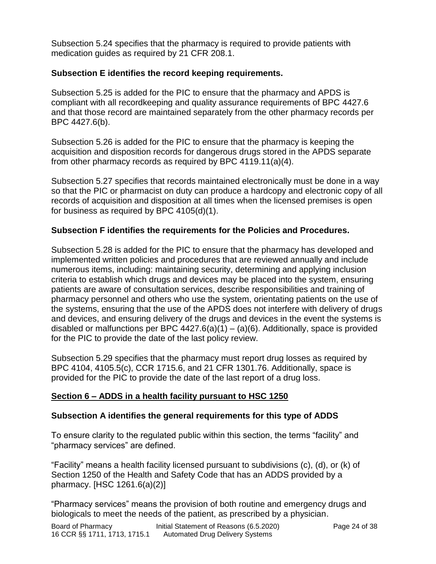Subsection 5.24 specifies that the pharmacy is required to provide patients with medication guides as required by 21 CFR 208.1.

### **Subsection E identifies the record keeping requirements.**

Subsection 5.25 is added for the PIC to ensure that the pharmacy and APDS is compliant with all recordkeeping and quality assurance requirements of BPC 4427.6 and that those record are maintained separately from the other pharmacy records per BPC 4427.6(b).

Subsection 5.26 is added for the PIC to ensure that the pharmacy is keeping the acquisition and disposition records for dangerous drugs stored in the APDS separate from other pharmacy records as required by BPC 4119.11(a)(4).

Subsection 5.27 specifies that records maintained electronically must be done in a way so that the PIC or pharmacist on duty can produce a hardcopy and electronic copy of all records of acquisition and disposition at all times when the licensed premises is open for business as required by BPC 4105(d)(1).

## **Subsection F identifies the requirements for the Policies and Procedures.**

Subsection 5.28 is added for the PIC to ensure that the pharmacy has developed and implemented written policies and procedures that are reviewed annually and include numerous items, including: maintaining security, determining and applying inclusion criteria to establish which drugs and devices may be placed into the system, ensuring patients are aware of consultation services, describe responsibilities and training of pharmacy personnel and others who use the system, orientating patients on the use of the systems, ensuring that the use of the APDS does not interfere with delivery of drugs and devices, and ensuring delivery of the drugs and devices in the event the systems is disabled or malfunctions per BPC  $4427.6(a)(1) - (a)(6)$ . Additionally, space is provided for the PIC to provide the date of the last policy review.

Subsection 5.29 specifies that the pharmacy must report drug losses as required by BPC 4104, 4105.5(c), CCR 1715.6, and 21 CFR 1301.76. Additionally, space is provided for the PIC to provide the date of the last report of a drug loss.

## **Section 6 – ADDS in a health facility pursuant to HSC 1250**

### **Subsection A identifies the general requirements for this type of ADDS**

To ensure clarity to the regulated public within this section, the terms "facility" and "pharmacy services" are defined.

"Facility" means a health facility licensed pursuant to subdivisions (c), (d), or (k) of Section 1250 of the Health and Safety Code that has an ADDS provided by a pharmacy. [HSC 1261.6(a)(2)]

"Pharmacy services" means the provision of both routine and emergency drugs and biologicals to meet the needs of the patient, as prescribed by a physician.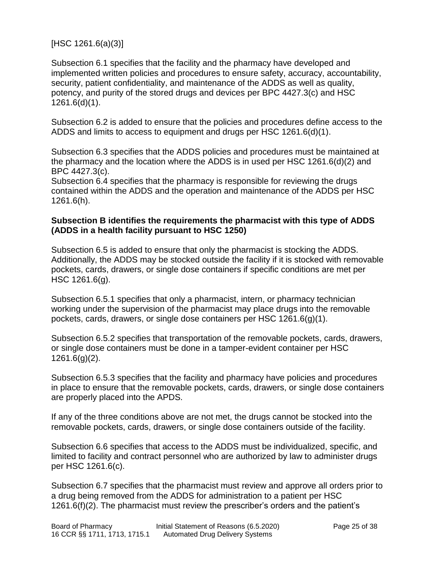[HSC 1261.6(a)(3)]

Subsection 6.1 specifies that the facility and the pharmacy have developed and implemented written policies and procedures to ensure safety, accuracy, accountability, security, patient confidentiality, and maintenance of the ADDS as well as quality, potency, and purity of the stored drugs and devices per BPC 4427.3(c) and HSC 1261.6(d)(1).

Subsection 6.2 is added to ensure that the policies and procedures define access to the ADDS and limits to access to equipment and drugs per HSC 1261.6(d)(1).

Subsection 6.3 specifies that the ADDS policies and procedures must be maintained at the pharmacy and the location where the ADDS is in used per HSC 1261.6(d)(2) and BPC 4427.3(c).

Subsection 6.4 specifies that the pharmacy is responsible for reviewing the drugs contained within the ADDS and the operation and maintenance of the ADDS per HSC 1261.6(h).

### **Subsection B identifies the requirements the pharmacist with this type of ADDS (ADDS in a health facility pursuant to HSC 1250)**

Subsection 6.5 is added to ensure that only the pharmacist is stocking the ADDS. Additionally, the ADDS may be stocked outside the facility if it is stocked with removable pockets, cards, drawers, or single dose containers if specific conditions are met per HSC 1261.6(g).

Subsection 6.5.1 specifies that only a pharmacist, intern, or pharmacy technician working under the supervision of the pharmacist may place drugs into the removable pockets, cards, drawers, or single dose containers per HSC 1261.6(g)(1).

Subsection 6.5.2 specifies that transportation of the removable pockets, cards, drawers, or single dose containers must be done in a tamper-evident container per HSC 1261.6(g)(2).

Subsection 6.5.3 specifies that the facility and pharmacy have policies and procedures in place to ensure that the removable pockets, cards, drawers, or single dose containers are properly placed into the APDS.

If any of the three conditions above are not met, the drugs cannot be stocked into the removable pockets, cards, drawers, or single dose containers outside of the facility.

Subsection 6.6 specifies that access to the ADDS must be individualized, specific, and limited to facility and contract personnel who are authorized by law to administer drugs per HSC 1261.6(c).

Subsection 6.7 specifies that the pharmacist must review and approve all orders prior to a drug being removed from the ADDS for administration to a patient per HSC 1261.6(f)(2). The pharmacist must review the prescriber's orders and the patient's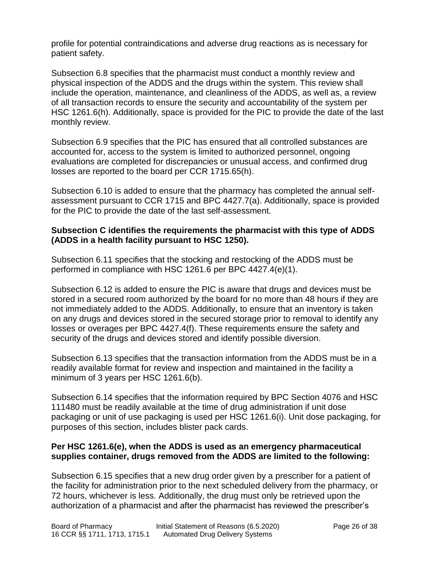profile for potential contraindications and adverse drug reactions as is necessary for patient safety.

Subsection 6.8 specifies that the pharmacist must conduct a monthly review and physical inspection of the ADDS and the drugs within the system. This review shall include the operation, maintenance, and cleanliness of the ADDS, as well as, a review of all transaction records to ensure the security and accountability of the system per HSC 1261.6(h). Additionally, space is provided for the PIC to provide the date of the last monthly review.

Subsection 6.9 specifies that the PIC has ensured that all controlled substances are accounted for, access to the system is limited to authorized personnel, ongoing evaluations are completed for discrepancies or unusual access, and confirmed drug losses are reported to the board per CCR 1715.65(h).

Subsection 6.10 is added to ensure that the pharmacy has completed the annual selfassessment pursuant to CCR 1715 and BPC 4427.7(a). Additionally, space is provided for the PIC to provide the date of the last self-assessment.

### **Subsection C identifies the requirements the pharmacist with this type of ADDS (ADDS in a health facility pursuant to HSC 1250).**

Subsection 6.11 specifies that the stocking and restocking of the ADDS must be performed in compliance with HSC 1261.6 per BPC 4427.4(e)(1).

Subsection 6.12 is added to ensure the PIC is aware that drugs and devices must be stored in a secured room authorized by the board for no more than 48 hours if they are not immediately added to the ADDS. Additionally, to ensure that an inventory is taken on any drugs and devices stored in the secured storage prior to removal to identify any losses or overages per BPC 4427.4(f). These requirements ensure the safety and security of the drugs and devices stored and identify possible diversion.

Subsection 6.13 specifies that the transaction information from the ADDS must be in a readily available format for review and inspection and maintained in the facility a minimum of 3 years per HSC 1261.6(b).

Subsection 6.14 specifies that the information required by BPC Section 4076 and HSC 111480 must be readily available at the time of drug administration if unit dose packaging or unit of use packaging is used per HSC 1261.6(i). Unit dose packaging, for purposes of this section, includes blister pack cards.

### **Per HSC 1261.6(e), when the ADDS is used as an emergency pharmaceutical supplies container, drugs removed from the ADDS are limited to the following:**

Subsection 6.15 specifies that a new drug order given by a prescriber for a patient of the facility for administration prior to the next scheduled delivery from the pharmacy, or 72 hours, whichever is less. Additionally, the drug must only be retrieved upon the authorization of a pharmacist and after the pharmacist has reviewed the prescriber's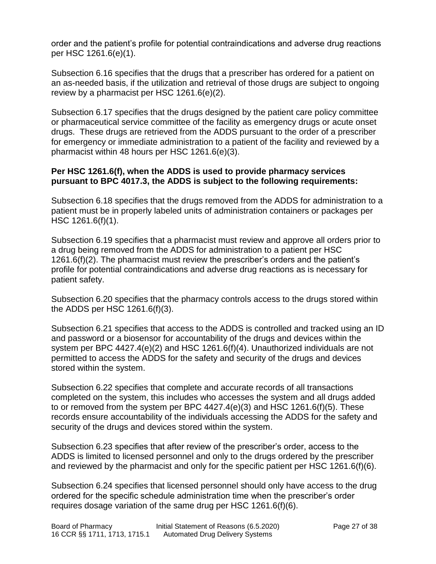order and the patient's profile for potential contraindications and adverse drug reactions per HSC 1261.6(e)(1).

Subsection 6.16 specifies that the drugs that a prescriber has ordered for a patient on an as-needed basis, if the utilization and retrieval of those drugs are subject to ongoing review by a pharmacist per HSC 1261.6(e)(2).

Subsection 6.17 specifies that the drugs designed by the patient care policy committee or pharmaceutical service committee of the facility as emergency drugs or acute onset drugs. These drugs are retrieved from the ADDS pursuant to the order of a prescriber for emergency or immediate administration to a patient of the facility and reviewed by a pharmacist within 48 hours per HSC 1261.6(e)(3).

### **Per HSC 1261.6(f), when the ADDS is used to provide pharmacy services pursuant to BPC 4017.3, the ADDS is subject to the following requirements:**

Subsection 6.18 specifies that the drugs removed from the ADDS for administration to a patient must be in properly labeled units of administration containers or packages per HSC 1261.6(f)(1).

Subsection 6.19 specifies that a pharmacist must review and approve all orders prior to a drug being removed from the ADDS for administration to a patient per HSC 1261.6(f)(2). The pharmacist must review the prescriber's orders and the patient's profile for potential contraindications and adverse drug reactions as is necessary for patient safety.

Subsection 6.20 specifies that the pharmacy controls access to the drugs stored within the ADDS per HSC 1261.6(f)(3).

Subsection 6.21 specifies that access to the ADDS is controlled and tracked using an ID and password or a biosensor for accountability of the drugs and devices within the system per BPC 4427.4(e)(2) and HSC 1261.6(f)(4). Unauthorized individuals are not permitted to access the ADDS for the safety and security of the drugs and devices stored within the system.

Subsection 6.22 specifies that complete and accurate records of all transactions completed on the system, this includes who accesses the system and all drugs added to or removed from the system per BPC 4427.4(e)(3) and HSC 1261.6(f)(5). These records ensure accountability of the individuals accessing the ADDS for the safety and security of the drugs and devices stored within the system.

Subsection 6.23 specifies that after review of the prescriber's order, access to the ADDS is limited to licensed personnel and only to the drugs ordered by the prescriber and reviewed by the pharmacist and only for the specific patient per HSC 1261.6(f)(6).

Subsection 6.24 specifies that licensed personnel should only have access to the drug ordered for the specific schedule administration time when the prescriber's order requires dosage variation of the same drug per HSC 1261.6(f)(6).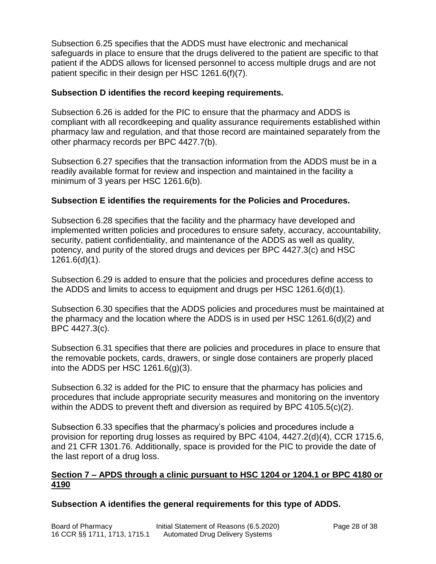Subsection 6.25 specifies that the ADDS must have electronic and mechanical safeguards in place to ensure that the drugs delivered to the patient are specific to that patient if the ADDS allows for licensed personnel to access multiple drugs and are not patient specific in their design per HSC 1261.6(f)(7).

### **Subsection D identifies the record keeping requirements.**

Subsection 6.26 is added for the PIC to ensure that the pharmacy and ADDS is compliant with all recordkeeping and quality assurance requirements established within pharmacy law and regulation, and that those record are maintained separately from the other pharmacy records per BPC 4427.7(b).

Subsection 6.27 specifies that the transaction information from the ADDS must be in a readily available format for review and inspection and maintained in the facility a minimum of 3 years per HSC 1261.6(b).

### **Subsection E identifies the requirements for the Policies and Procedures.**

Subsection 6.28 specifies that the facility and the pharmacy have developed and implemented written policies and procedures to ensure safety, accuracy, accountability, security, patient confidentiality, and maintenance of the ADDS as well as quality, potency, and purity of the stored drugs and devices per BPC 4427.3(c) and HSC 1261.6(d)(1).

Subsection 6.29 is added to ensure that the policies and procedures define access to the ADDS and limits to access to equipment and drugs per HSC 1261.6(d)(1).

Subsection 6.30 specifies that the ADDS policies and procedures must be maintained at the pharmacy and the location where the ADDS is in used per HSC 1261.6(d)(2) and BPC 4427.3(c).

Subsection 6.31 specifies that there are policies and procedures in place to ensure that the removable pockets, cards, drawers, or single dose containers are properly placed into the ADDS per HSC 1261.6(g)(3).

Subsection 6.32 is added for the PIC to ensure that the pharmacy has policies and procedures that include appropriate security measures and monitoring on the inventory within the ADDS to prevent theft and diversion as required by BPC 4105.5(c)(2).

Subsection 6.33 specifies that the pharmacy's policies and procedures include a provision for reporting drug losses as required by BPC 4104, 4427.2(d)(4), CCR 1715.6, and 21 CFR 1301.76. Additionally, space is provided for the PIC to provide the date of the last report of a drug loss.

### **Section 7 – APDS through a clinic pursuant to HSC 1204 or 1204.1 or BPC 4180 or 4190**

### **Subsection A identifies the general requirements for this type of ADDS.**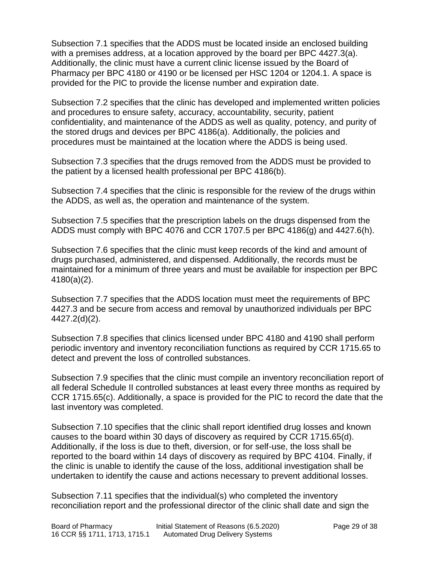Subsection 7.1 specifies that the ADDS must be located inside an enclosed building with a premises address, at a location approved by the board per BPC 4427.3(a). Additionally, the clinic must have a current clinic license issued by the Board of Pharmacy per BPC 4180 or 4190 or be licensed per HSC 1204 or 1204.1. A space is provided for the PIC to provide the license number and expiration date.

Subsection 7.2 specifies that the clinic has developed and implemented written policies and procedures to ensure safety, accuracy, accountability, security, patient confidentiality, and maintenance of the ADDS as well as quality, potency, and purity of the stored drugs and devices per BPC 4186(a). Additionally, the policies and procedures must be maintained at the location where the ADDS is being used.

Subsection 7.3 specifies that the drugs removed from the ADDS must be provided to the patient by a licensed health professional per BPC 4186(b).

Subsection 7.4 specifies that the clinic is responsible for the review of the drugs within the ADDS, as well as, the operation and maintenance of the system.

Subsection 7.5 specifies that the prescription labels on the drugs dispensed from the ADDS must comply with BPC 4076 and CCR 1707.5 per BPC 4186(g) and 4427.6(h).

Subsection 7.6 specifies that the clinic must keep records of the kind and amount of drugs purchased, administered, and dispensed. Additionally, the records must be maintained for a minimum of three years and must be available for inspection per BPC 4180(a)(2).

Subsection 7.7 specifies that the ADDS location must meet the requirements of BPC 4427.3 and be secure from access and removal by unauthorized individuals per BPC 4427.2(d)(2).

Subsection 7.8 specifies that clinics licensed under BPC 4180 and 4190 shall perform periodic inventory and inventory reconciliation functions as required by CCR 1715.65 to detect and prevent the loss of controlled substances.

Subsection 7.9 specifies that the clinic must compile an inventory reconciliation report of all federal Schedule II controlled substances at least every three months as required by CCR 1715.65(c). Additionally, a space is provided for the PIC to record the date that the last inventory was completed.

Subsection 7.10 specifies that the clinic shall report identified drug losses and known causes to the board within 30 days of discovery as required by CCR 1715.65(d). Additionally, if the loss is due to theft, diversion, or for self-use, the loss shall be reported to the board within 14 days of discovery as required by BPC 4104. Finally, if the clinic is unable to identify the cause of the loss, additional investigation shall be undertaken to identify the cause and actions necessary to prevent additional losses.

Subsection 7.11 specifies that the individual(s) who completed the inventory reconciliation report and the professional director of the clinic shall date and sign the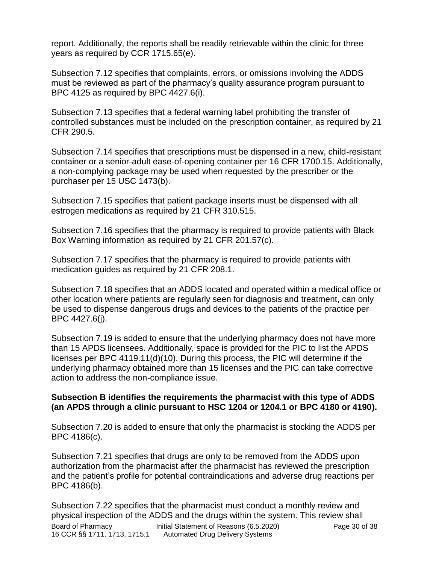report. Additionally, the reports shall be readily retrievable within the clinic for three years as required by CCR 1715.65(e).

Subsection 7.12 specifies that complaints, errors, or omissions involving the ADDS must be reviewed as part of the pharmacy's quality assurance program pursuant to BPC 4125 as required by BPC 4427.6(i).

Subsection 7.13 specifies that a federal warning label prohibiting the transfer of controlled substances must be included on the prescription container, as required by 21 CFR 290.5.

Subsection 7.14 specifies that prescriptions must be dispensed in a new, child-resistant container or a senior-adult ease-of-opening container per 16 CFR 1700.15. Additionally, a non-complying package may be used when requested by the prescriber or the purchaser per 15 USC 1473(b).

Subsection 7.15 specifies that patient package inserts must be dispensed with all estrogen medications as required by 21 CFR 310.515.

Subsection 7.16 specifies that the pharmacy is required to provide patients with Black Box Warning information as required by 21 CFR 201.57(c).

Subsection 7.17 specifies that the pharmacy is required to provide patients with medication guides as required by 21 CFR 208.1.

Subsection 7.18 specifies that an ADDS located and operated within a medical office or other location where patients are regularly seen for diagnosis and treatment, can only be used to dispense dangerous drugs and devices to the patients of the practice per BPC 4427.6(j).

Subsection 7.19 is added to ensure that the underlying pharmacy does not have more than 15 APDS licensees. Additionally, space is provided for the PIC to list the APDS licenses per BPC 4119.11(d)(10). During this process, the PIC will determine if the underlying pharmacy obtained more than 15 licenses and the PIC can take corrective action to address the non-compliance issue.

### **Subsection B identifies the requirements the pharmacist with this type of ADDS (an APDS through a clinic pursuant to HSC 1204 or 1204.1 or BPC 4180 or 4190).**

Subsection 7.20 is added to ensure that only the pharmacist is stocking the ADDS per BPC 4186(c).

Subsection 7.21 specifies that drugs are only to be removed from the ADDS upon authorization from the pharmacist after the pharmacist has reviewed the prescription and the patient's profile for potential contraindications and adverse drug reactions per BPC 4186(b).

Board of Pharmacy **Initial Statement of Reasons (6.5.2020)** Page 30 of 38 16 CCR §§ 1711, 1713, 1715.1 Automated Drug Delivery Systems Subsection 7.22 specifies that the pharmacist must conduct a monthly review and physical inspection of the ADDS and the drugs within the system. This review shall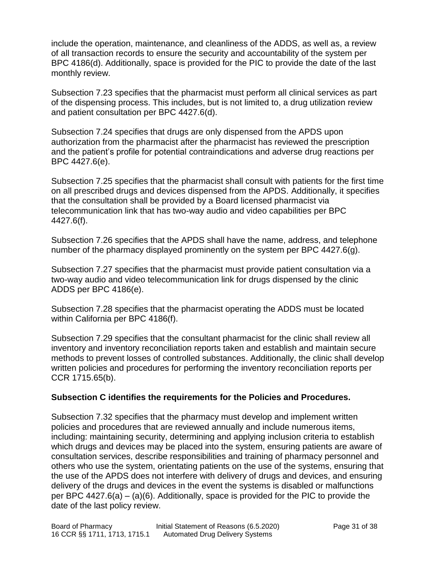include the operation, maintenance, and cleanliness of the ADDS, as well as, a review of all transaction records to ensure the security and accountability of the system per BPC 4186(d). Additionally, space is provided for the PIC to provide the date of the last monthly review.

Subsection 7.23 specifies that the pharmacist must perform all clinical services as part of the dispensing process. This includes, but is not limited to, a drug utilization review and patient consultation per BPC 4427.6(d).

Subsection 7.24 specifies that drugs are only dispensed from the APDS upon authorization from the pharmacist after the pharmacist has reviewed the prescription and the patient's profile for potential contraindications and adverse drug reactions per BPC 4427.6(e).

Subsection 7.25 specifies that the pharmacist shall consult with patients for the first time on all prescribed drugs and devices dispensed from the APDS. Additionally, it specifies that the consultation shall be provided by a Board licensed pharmacist via telecommunication link that has two-way audio and video capabilities per BPC 4427.6(f).

Subsection 7.26 specifies that the APDS shall have the name, address, and telephone number of the pharmacy displayed prominently on the system per BPC 4427.6(g).

Subsection 7.27 specifies that the pharmacist must provide patient consultation via a two-way audio and video telecommunication link for drugs dispensed by the clinic ADDS per BPC 4186(e).

Subsection 7.28 specifies that the pharmacist operating the ADDS must be located within California per BPC 4186(f).

Subsection 7.29 specifies that the consultant pharmacist for the clinic shall review all inventory and inventory reconciliation reports taken and establish and maintain secure methods to prevent losses of controlled substances. Additionally, the clinic shall develop written policies and procedures for performing the inventory reconciliation reports per CCR 1715.65(b).

### **Subsection C identifies the requirements for the Policies and Procedures.**

Subsection 7.32 specifies that the pharmacy must develop and implement written policies and procedures that are reviewed annually and include numerous items, including: maintaining security, determining and applying inclusion criteria to establish which drugs and devices may be placed into the system, ensuring patients are aware of consultation services, describe responsibilities and training of pharmacy personnel and others who use the system, orientating patients on the use of the systems, ensuring that the use of the APDS does not interfere with delivery of drugs and devices, and ensuring delivery of the drugs and devices in the event the systems is disabled or malfunctions per BPC 4427.6(a) – (a)(6). Additionally, space is provided for the PIC to provide the date of the last policy review.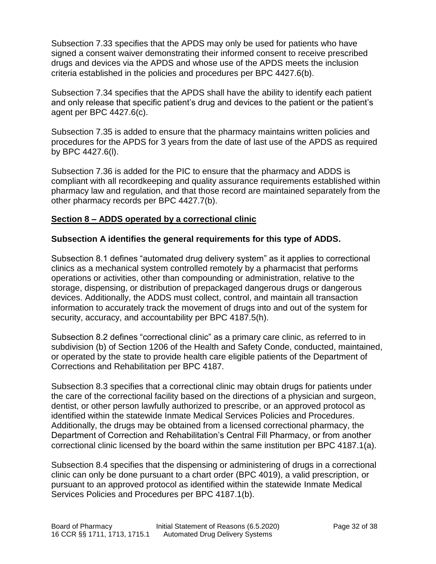Subsection 7.33 specifies that the APDS may only be used for patients who have signed a consent waiver demonstrating their informed consent to receive prescribed drugs and devices via the APDS and whose use of the APDS meets the inclusion criteria established in the policies and procedures per BPC 4427.6(b).

Subsection 7.34 specifies that the APDS shall have the ability to identify each patient and only release that specific patient's drug and devices to the patient or the patient's agent per BPC 4427.6(c).

Subsection 7.35 is added to ensure that the pharmacy maintains written policies and procedures for the APDS for 3 years from the date of last use of the APDS as required by BPC 4427.6(l).

Subsection 7.36 is added for the PIC to ensure that the pharmacy and ADDS is compliant with all recordkeeping and quality assurance requirements established within pharmacy law and regulation, and that those record are maintained separately from the other pharmacy records per BPC 4427.7(b).

### **Section 8 – ADDS operated by a correctional clinic**

### **Subsection A identifies the general requirements for this type of ADDS.**

Subsection 8.1 defines "automated drug delivery system" as it applies to correctional clinics as a mechanical system controlled remotely by a pharmacist that performs operations or activities, other than compounding or administration, relative to the storage, dispensing, or distribution of prepackaged dangerous drugs or dangerous devices. Additionally, the ADDS must collect, control, and maintain all transaction information to accurately track the movement of drugs into and out of the system for security, accuracy, and accountability per BPC 4187.5(h).

Subsection 8.2 defines "correctional clinic" as a primary care clinic, as referred to in subdivision (b) of Section 1206 of the Health and Safety Conde, conducted, maintained, or operated by the state to provide health care eligible patients of the Department of Corrections and Rehabilitation per BPC 4187.

Subsection 8.3 specifies that a correctional clinic may obtain drugs for patients under the care of the correctional facility based on the directions of a physician and surgeon, dentist, or other person lawfully authorized to prescribe, or an approved protocol as identified within the statewide Inmate Medical Services Policies and Procedures. Additionally, the drugs may be obtained from a licensed correctional pharmacy, the Department of Correction and Rehabilitation's Central Fill Pharmacy, or from another correctional clinic licensed by the board within the same institution per BPC 4187.1(a).

Subsection 8.4 specifies that the dispensing or administering of drugs in a correctional clinic can only be done pursuant to a chart order (BPC 4019), a valid prescription, or pursuant to an approved protocol as identified within the statewide Inmate Medical Services Policies and Procedures per BPC 4187.1(b).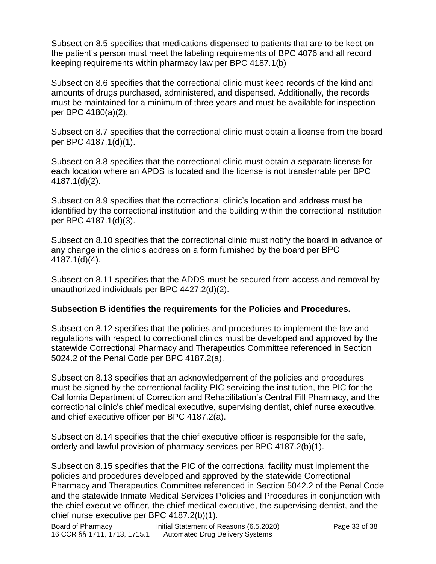Subsection 8.5 specifies that medications dispensed to patients that are to be kept on the patient's person must meet the labeling requirements of BPC 4076 and all record keeping requirements within pharmacy law per BPC 4187.1(b)

Subsection 8.6 specifies that the correctional clinic must keep records of the kind and amounts of drugs purchased, administered, and dispensed. Additionally, the records must be maintained for a minimum of three years and must be available for inspection per BPC 4180(a)(2).

Subsection 8.7 specifies that the correctional clinic must obtain a license from the board per BPC 4187.1(d)(1).

Subsection 8.8 specifies that the correctional clinic must obtain a separate license for each location where an APDS is located and the license is not transferrable per BPC 4187.1(d)(2).

Subsection 8.9 specifies that the correctional clinic's location and address must be identified by the correctional institution and the building within the correctional institution per BPC 4187.1(d)(3).

Subsection 8.10 specifies that the correctional clinic must notify the board in advance of any change in the clinic's address on a form furnished by the board per BPC 4187.1(d)(4).

Subsection 8.11 specifies that the ADDS must be secured from access and removal by unauthorized individuals per BPC 4427.2(d)(2).

### **Subsection B identifies the requirements for the Policies and Procedures.**

Subsection 8.12 specifies that the policies and procedures to implement the law and regulations with respect to correctional clinics must be developed and approved by the statewide Correctional Pharmacy and Therapeutics Committee referenced in Section 5024.2 of the Penal Code per BPC 4187.2(a).

Subsection 8.13 specifies that an acknowledgement of the policies and procedures must be signed by the correctional facility PIC servicing the institution, the PIC for the California Department of Correction and Rehabilitation's Central Fill Pharmacy, and the correctional clinic's chief medical executive, supervising dentist, chief nurse executive, and chief executive officer per BPC 4187.2(a).

Subsection 8.14 specifies that the chief executive officer is responsible for the safe, orderly and lawful provision of pharmacy services per BPC 4187.2(b)(1).

Subsection 8.15 specifies that the PIC of the correctional facility must implement the policies and procedures developed and approved by the statewide Correctional Pharmacy and Therapeutics Committee referenced in Section 5042.2 of the Penal Code and the statewide Inmate Medical Services Policies and Procedures in conjunction with the chief executive officer, the chief medical executive, the supervising dentist, and the chief nurse executive per BPC 4187.2(b)(1).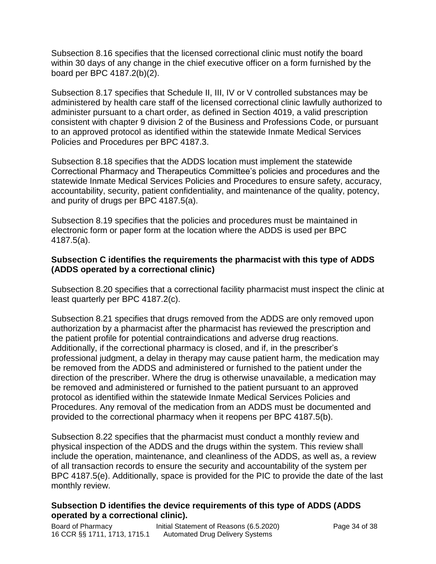Subsection 8.16 specifies that the licensed correctional clinic must notify the board within 30 days of any change in the chief executive officer on a form furnished by the board per BPC 4187.2(b)(2).

Subsection 8.17 specifies that Schedule II, III, IV or V controlled substances may be administered by health care staff of the licensed correctional clinic lawfully authorized to administer pursuant to a chart order, as defined in Section 4019, a valid prescription consistent with chapter 9 division 2 of the Business and Professions Code, or pursuant to an approved protocol as identified within the statewide Inmate Medical Services Policies and Procedures per BPC 4187.3.

Subsection 8.18 specifies that the ADDS location must implement the statewide Correctional Pharmacy and Therapeutics Committee's policies and procedures and the statewide Inmate Medical Services Policies and Procedures to ensure safety, accuracy, accountability, security, patient confidentiality, and maintenance of the quality, potency, and purity of drugs per BPC 4187.5(a).

Subsection 8.19 specifies that the policies and procedures must be maintained in electronic form or paper form at the location where the ADDS is used per BPC 4187.5(a).

### **Subsection C identifies the requirements the pharmacist with this type of ADDS (ADDS operated by a correctional clinic)**

Subsection 8.20 specifies that a correctional facility pharmacist must inspect the clinic at least quarterly per BPC 4187.2(c).

Subsection 8.21 specifies that drugs removed from the ADDS are only removed upon authorization by a pharmacist after the pharmacist has reviewed the prescription and the patient profile for potential contraindications and adverse drug reactions. Additionally, if the correctional pharmacy is closed, and if, in the prescriber's professional judgment, a delay in therapy may cause patient harm, the medication may be removed from the ADDS and administered or furnished to the patient under the direction of the prescriber. Where the drug is otherwise unavailable, a medication may be removed and administered or furnished to the patient pursuant to an approved protocol as identified within the statewide Inmate Medical Services Policies and Procedures. Any removal of the medication from an ADDS must be documented and provided to the correctional pharmacy when it reopens per BPC 4187.5(b).

Subsection 8.22 specifies that the pharmacist must conduct a monthly review and physical inspection of the ADDS and the drugs within the system. This review shall include the operation, maintenance, and cleanliness of the ADDS, as well as, a review of all transaction records to ensure the security and accountability of the system per BPC 4187.5(e). Additionally, space is provided for the PIC to provide the date of the last monthly review.

#### **Subsection D identifies the device requirements of this type of ADDS (ADDS operated by a correctional clinic).**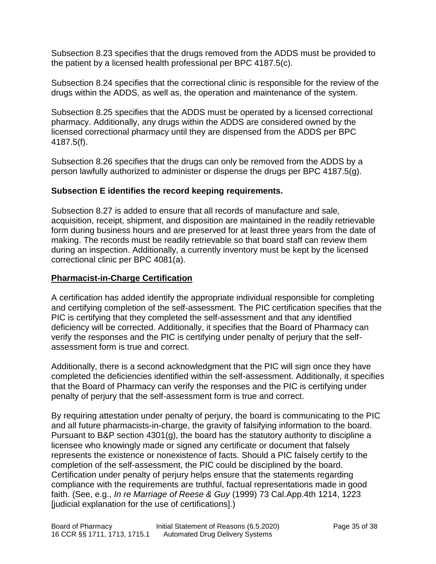Subsection 8.23 specifies that the drugs removed from the ADDS must be provided to the patient by a licensed health professional per BPC 4187.5(c).

Subsection 8.24 specifies that the correctional clinic is responsible for the review of the drugs within the ADDS, as well as, the operation and maintenance of the system.

Subsection 8.25 specifies that the ADDS must be operated by a licensed correctional pharmacy. Additionally, any drugs within the ADDS are considered owned by the licensed correctional pharmacy until they are dispensed from the ADDS per BPC 4187.5(f).

Subsection 8.26 specifies that the drugs can only be removed from the ADDS by a person lawfully authorized to administer or dispense the drugs per BPC 4187.5(g).

## **Subsection E identifies the record keeping requirements.**

Subsection 8.27 is added to ensure that all records of manufacture and sale, acquisition, receipt, shipment, and disposition are maintained in the readily retrievable form during business hours and are preserved for at least three years from the date of making. The records must be readily retrievable so that board staff can review them during an inspection. Additionally, a currently inventory must be kept by the licensed correctional clinic per BPC 4081(a).

### **Pharmacist-in-Charge Certification**

A certification has added identify the appropriate individual responsible for completing and certifying completion of the self-assessment. The PIC certification specifies that the PIC is certifying that they completed the self-assessment and that any identified deficiency will be corrected. Additionally, it specifies that the Board of Pharmacy can verify the responses and the PIC is certifying under penalty of perjury that the selfassessment form is true and correct.

Additionally, there is a second acknowledgment that the PIC will sign once they have completed the deficiencies identified within the self-assessment. Additionally, it specifies that the Board of Pharmacy can verify the responses and the PIC is certifying under penalty of perjury that the self-assessment form is true and correct.

By requiring attestation under penalty of perjury, the board is communicating to the PIC and all future pharmacists-in-charge, the gravity of falsifying information to the board. Pursuant to B&P section 4301(g), the board has the statutory authority to discipline a licensee who knowingly made or signed any certificate or document that falsely represents the existence or nonexistence of facts. Should a PIC falsely certify to the completion of the self-assessment, the PIC could be disciplined by the board. Certification under penalty of perjury helps ensure that the statements regarding compliance with the requirements are truthful, factual representations made in good faith. (See, e.g., *In re Marriage of Reese & Guy* (1999) 73 Cal.App.4th 1214, 1223 [judicial explanation for the use of certifications].)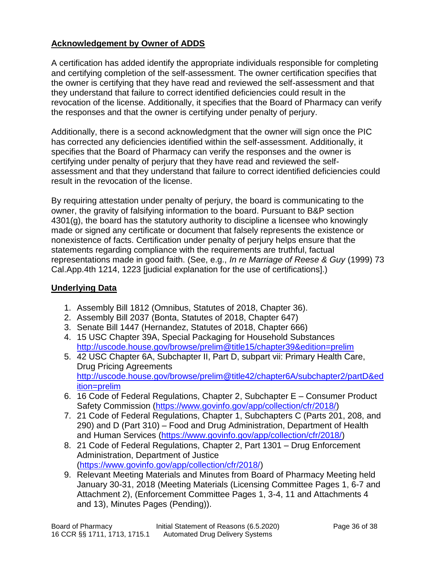## **Acknowledgement by Owner of ADDS**

A certification has added identify the appropriate individuals responsible for completing and certifying completion of the self-assessment. The owner certification specifies that the owner is certifying that they have read and reviewed the self-assessment and that they understand that failure to correct identified deficiencies could result in the revocation of the license. Additionally, it specifies that the Board of Pharmacy can verify the responses and that the owner is certifying under penalty of perjury.

Additionally, there is a second acknowledgment that the owner will sign once the PIC has corrected any deficiencies identified within the self-assessment. Additionally, it specifies that the Board of Pharmacy can verify the responses and the owner is certifying under penalty of perjury that they have read and reviewed the selfassessment and that they understand that failure to correct identified deficiencies could result in the revocation of the license.

By requiring attestation under penalty of perjury, the board is communicating to the owner, the gravity of falsifying information to the board. Pursuant to B&P section 4301(g), the board has the statutory authority to discipline a licensee who knowingly made or signed any certificate or document that falsely represents the existence or nonexistence of facts. Certification under penalty of perjury helps ensure that the statements regarding compliance with the requirements are truthful, factual representations made in good faith. (See, e.g., *In re Marriage of Reese & Guy* (1999) 73 Cal.App.4th 1214, 1223 [judicial explanation for the use of certifications].)

### **Underlying Data**

- 1. Assembly Bill 1812 (Omnibus, Statutes of 2018, Chapter 36).
- 2. Assembly Bill 2037 (Bonta, Statutes of 2018, Chapter 647)
- 3. Senate Bill 1447 (Hernandez, Statutes of 2018, Chapter 666)
- 4. 15 USC Chapter 39A, Special Packaging for Household Substances <http://uscode.house.gov/browse/prelim@title15/chapter39&edition=prelim>
- 5. 42 USC Chapter 6A, Subchapter II, Part D, subpart vii: Primary Health Care, Drug Pricing Agreements [http://uscode.house.gov/browse/prelim@title42/chapter6A/subchapter2/partD&ed](http://uscode.house.gov/browse/prelim@title42/chapter6A/subchapter2/partD&edition=prelim) [ition=prelim](http://uscode.house.gov/browse/prelim@title42/chapter6A/subchapter2/partD&edition=prelim)
- 6. 16 Code of Federal Regulations, Chapter 2, Subchapter E Consumer Product Safety Commission [\(https://www.govinfo.gov/app/collection/cfr/2018/\)](https://www.govinfo.gov/app/collection/cfr/2018/)
- 7. 21 Code of Federal Regulations, Chapter 1, Subchapters C (Parts 201, 208, and 290) and D (Part 310) – Food and Drug Administration, Department of Health and Human Services [\(https://www.govinfo.gov/app/collection/cfr/2018/\)](https://www.govinfo.gov/app/collection/cfr/2018/)
- 8. 21 Code of Federal Regulations, Chapter 2, Part 1301 Drug Enforcement Administration, Department of Justice [\(https://www.govinfo.gov/app/collection/cfr/2018/\)](https://www.govinfo.gov/app/collection/cfr/2018/)
- 9. Relevant Meeting Materials and Minutes from Board of Pharmacy Meeting held January 30-31, 2018 (Meeting Materials (Licensing Committee Pages 1, 6-7 and Attachment 2), (Enforcement Committee Pages 1, 3-4, 11 and Attachments 4 and 13), Minutes Pages (Pending)).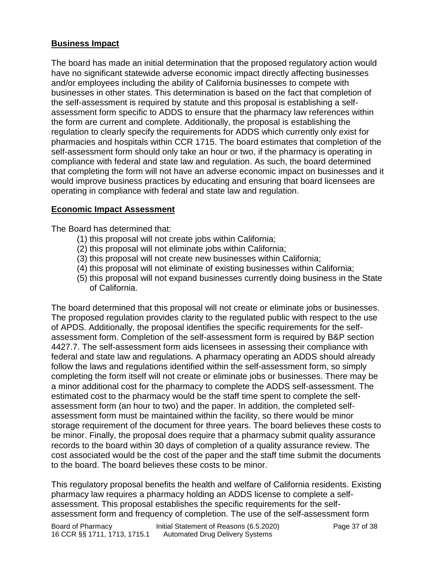## **Business Impact**

The board has made an initial determination that the proposed regulatory action would have no significant statewide adverse economic impact directly affecting businesses and/or employees including the ability of California businesses to compete with businesses in other states. This determination is based on the fact that completion of the self-assessment is required by statute and this proposal is establishing a selfassessment form specific to ADDS to ensure that the pharmacy law references within the form are current and complete. Additionally, the proposal is establishing the regulation to clearly specify the requirements for ADDS which currently only exist for pharmacies and hospitals within CCR 1715. The board estimates that completion of the self-assessment form should only take an hour or two, if the pharmacy is operating in compliance with federal and state law and regulation. As such, the board determined that completing the form will not have an adverse economic impact on businesses and it would improve business practices by educating and ensuring that board licensees are operating in compliance with federal and state law and regulation.

# **Economic Impact Assessment**

The Board has determined that:

- (1) this proposal will not create jobs within California;
- (2) this proposal will not eliminate jobs within California;
- (3) this proposal will not create new businesses within California;
- (4) this proposal will not eliminate of existing businesses within California;
- (5) this proposal will not expand businesses currently doing business in the State of California.

The board determined that this proposal will not create or eliminate jobs or businesses. The proposed regulation provides clarity to the regulated public with respect to the use of APDS. Additionally, the proposal identifies the specific requirements for the selfassessment form. Completion of the self-assessment form is required by B&P section 4427.7. The self-assessment form aids licensees in assessing their compliance with federal and state law and regulations. A pharmacy operating an ADDS should already follow the laws and regulations identified within the self-assessment form, so simply completing the form itself will not create or eliminate jobs or businesses. There may be a minor additional cost for the pharmacy to complete the ADDS self-assessment. The estimated cost to the pharmacy would be the staff time spent to complete the selfassessment form (an hour to two) and the paper. In addition, the completed selfassessment form must be maintained within the facility, so there would be minor storage requirement of the document for three years. The board believes these costs to be minor. Finally, the proposal does require that a pharmacy submit quality assurance records to the board within 30 days of completion of a quality assurance review. The cost associated would be the cost of the paper and the staff time submit the documents to the board. The board believes these costs to be minor.

This regulatory proposal benefits the health and welfare of California residents. Existing pharmacy law requires a pharmacy holding an ADDS license to complete a selfassessment. This proposal establishes the specific requirements for the selfassessment form and frequency of completion. The use of the self-assessment form